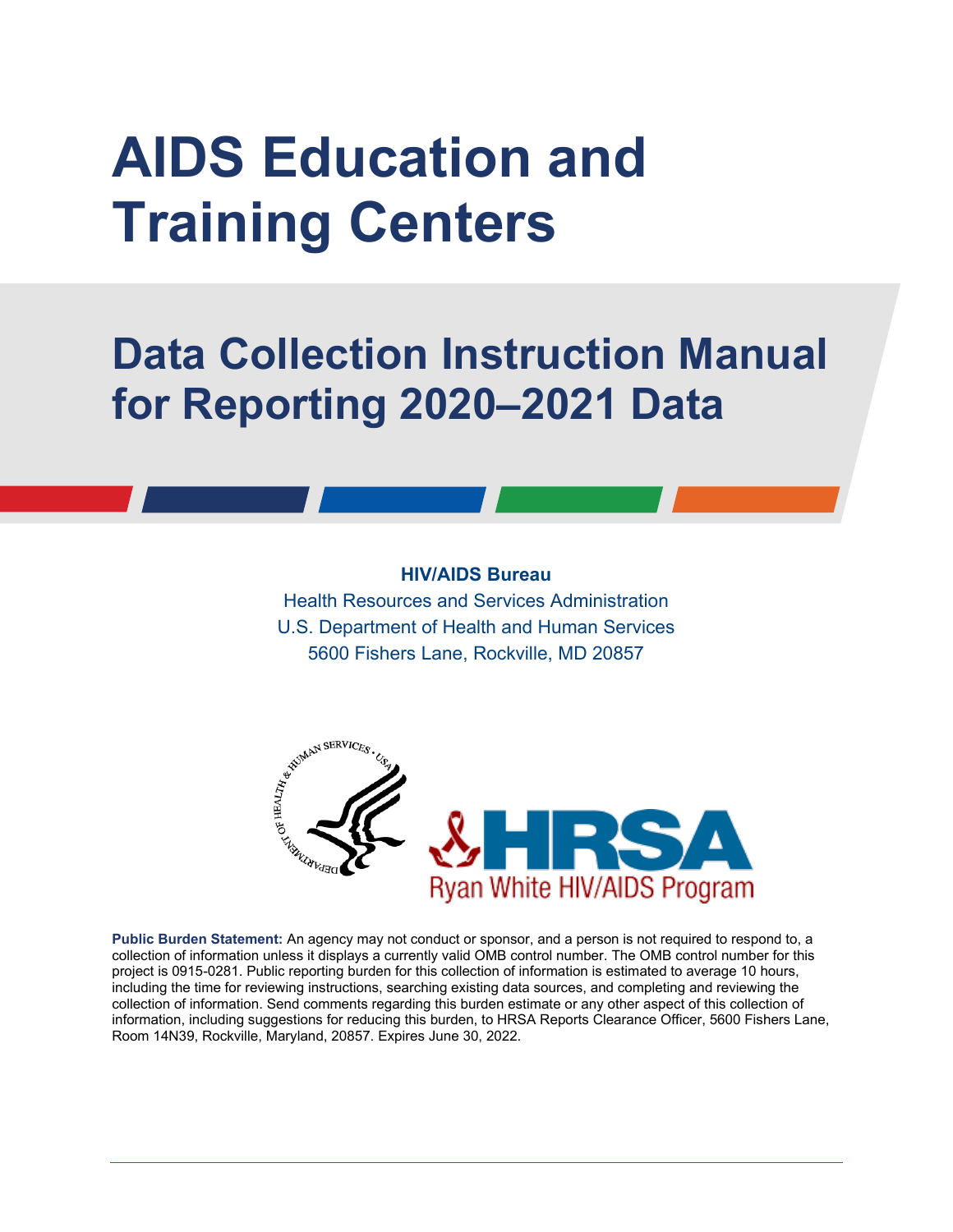# **AIDS Education and Training Centers**

# **Data Collection Instruction Manual for Reporting 2020–2021 Data**

#### **HIV/AIDS Bureau**

Health Resources and Services Administration U.S. Department of Health and Human Services 5600 Fishers Lane, Rockville, MD 20857



**Public Burden Statement:** An agency may not conduct or sponsor, and a person is not required to respond to, a collection of information unless it displays a currently valid OMB control number. The OMB control number for this project is 0915-0281. Public reporting burden for this collection of information is estimated to average 10 hours, including the time for reviewing instructions, searching existing data sources, and completing and reviewing the collection of information. Send comments regarding this burden estimate or any other aspect of this collection of information, including suggestions for reducing this burden, to HRSA Reports Clearance Officer, 5600 Fishers Lane, Room 14N39, Rockville, Maryland, 20857. Expires June 30, 2022.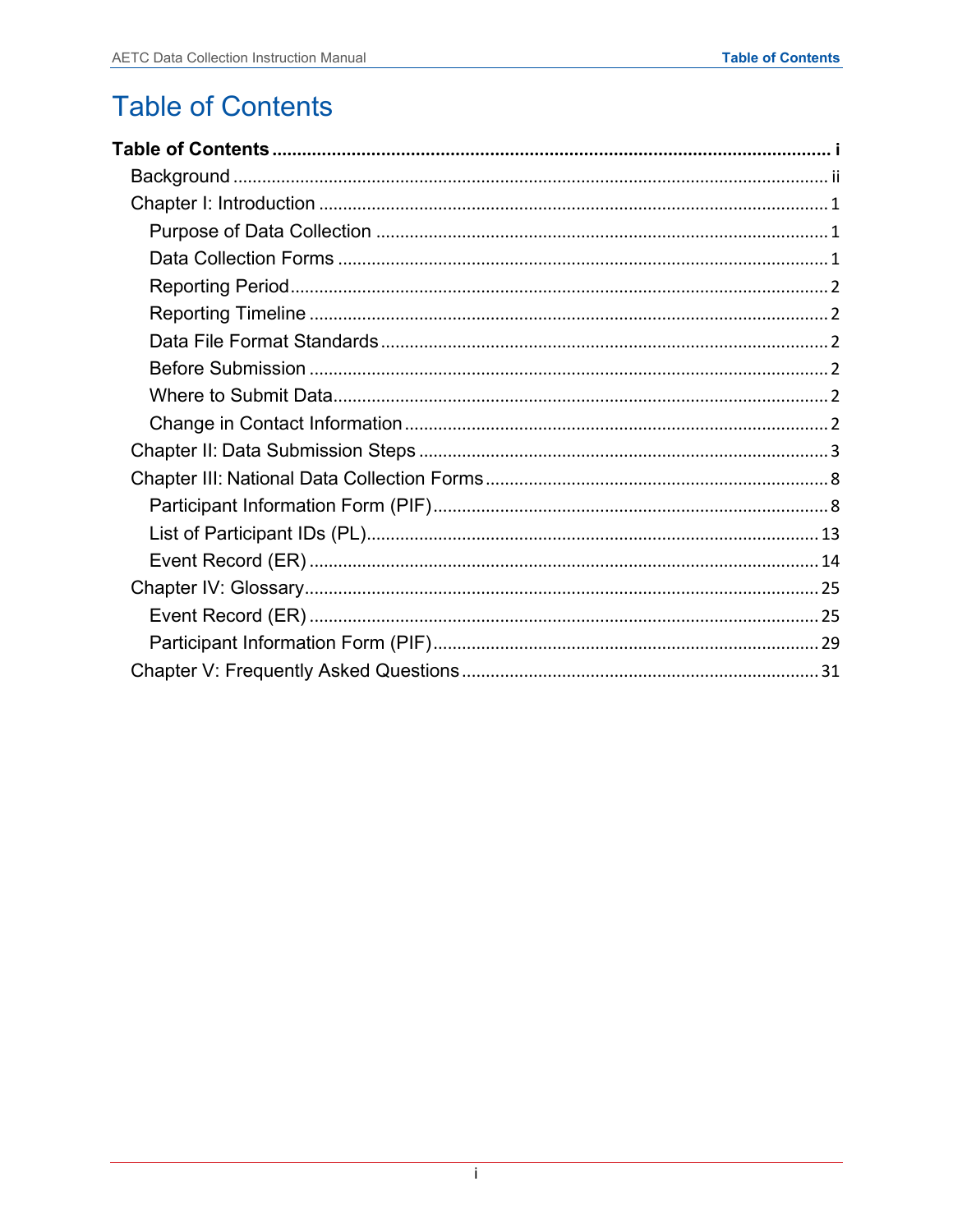# <span id="page-1-0"></span>**Table of Contents**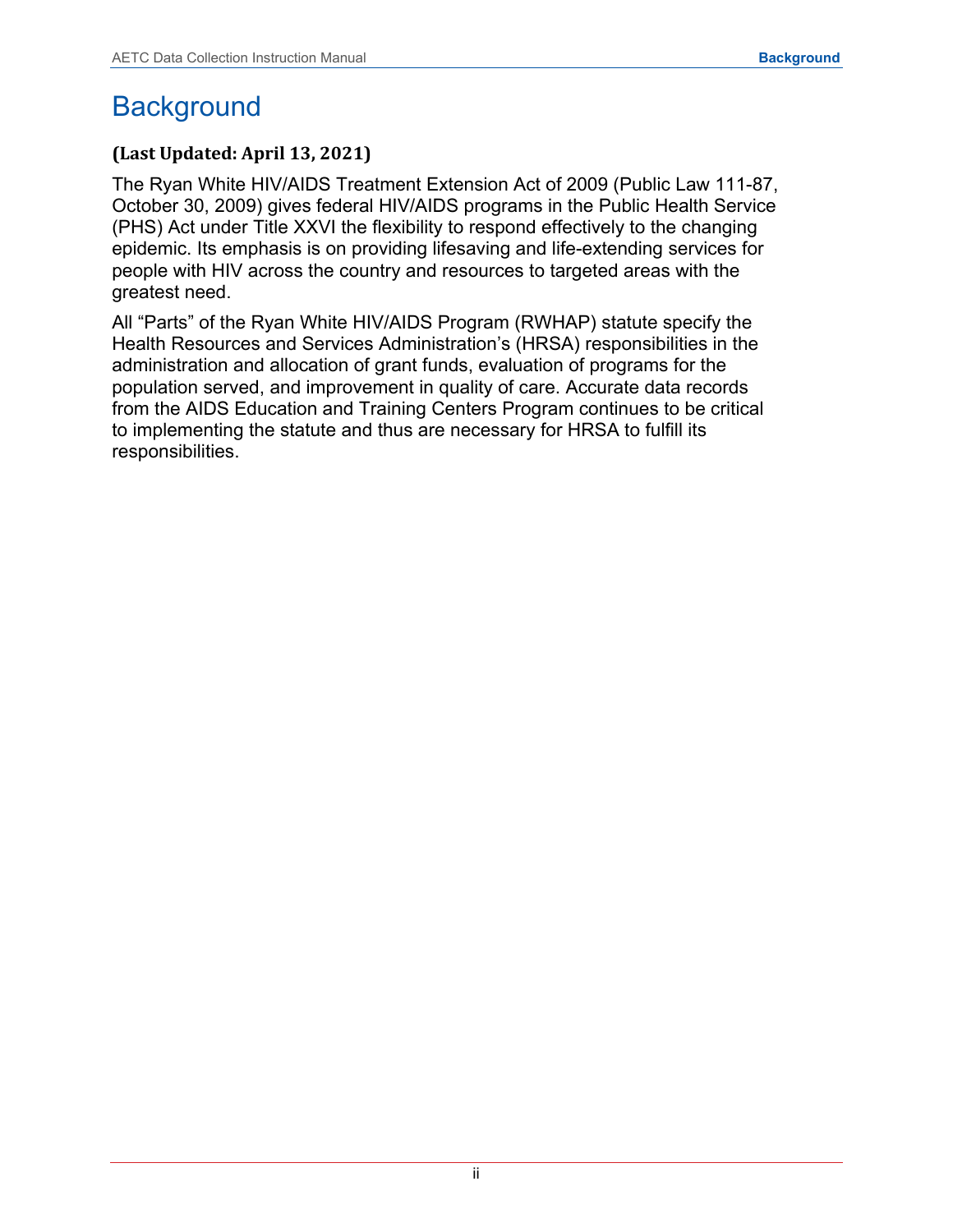# <span id="page-2-0"></span>**Background**

## **(Last Updated: April 13, 2021)**

The Ryan White HIV/AIDS Treatment Extension Act of 2009 (Public Law 111-87, October 30, 2009) gives federal HIV/AIDS programs in the Public Health Service (PHS) Act under Title XXVI the flexibility to respond effectively to the changing epidemic. Its emphasis is on providing lifesaving and life-extending services for people with HIV across the country and resources to targeted areas with the greatest need.

All "Parts" of the Ryan White HIV/AIDS Program (RWHAP) statute specify the Health Resources and Services Administration's (HRSA) responsibilities in the administration and allocation of grant funds, evaluation of programs for the population served, and improvement in quality of care. Accurate data records from the AIDS Education and Training Centers Program continues to be critical to implementing the statute and thus are necessary for HRSA to fulfill its responsibilities.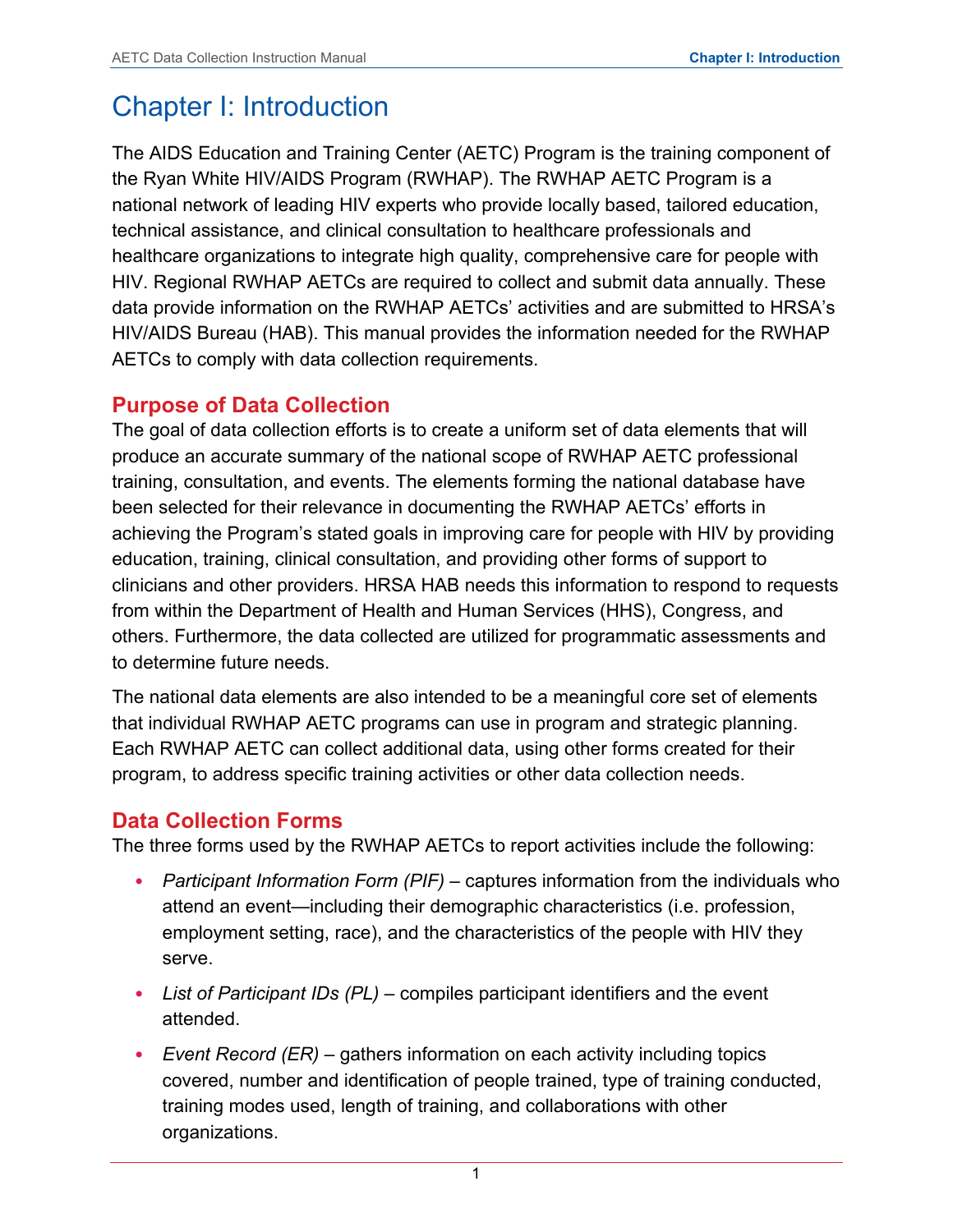# <span id="page-3-0"></span>Chapter I: Introduction

The AIDS Education and Training Center (AETC) Program is the training component of the Ryan White HIV/AIDS Program (RWHAP). The RWHAP AETC Program is a national network of leading HIV experts who provide locally based, tailored education, technical assistance, and clinical consultation to healthcare professionals and healthcare organizations to integrate high quality, comprehensive care for people with HIV. Regional RWHAP AETCs are required to collect and submit data annually. These data provide information on the RWHAP AETCs' activities and are submitted to HRSA's HIV/AIDS Bureau (HAB). This manual provides the information needed for the RWHAP AETCs to comply with data collection requirements.

## <span id="page-3-1"></span>**Purpose of Data Collection**

The goal of data collection efforts is to create a uniform set of data elements that will produce an accurate summary of the national scope of RWHAP AETC professional training, consultation, and events. The elements forming the national database have been selected for their relevance in documenting the RWHAP AETCs' efforts in achieving the Program's stated goals in improving care for people with HIV by providing education, training, clinical consultation, and providing other forms of support to clinicians and other providers. HRSA HAB needs this information to respond to requests from within the Department of Health and Human Services (HHS), Congress, and others. Furthermore, the data collected are utilized for programmatic assessments and to determine future needs.

The national data elements are also intended to be a meaningful core set of elements that individual RWHAP AETC programs can use in program and strategic planning. Each RWHAP AETC can collect additional data, using other forms created for their program, to address specific training activities or other data collection needs.

## <span id="page-3-2"></span>**Data Collection Forms**

The three forms used by the RWHAP AETCs to report activities include the following:

- *Participant Information Form (PIF)* captures information from the individuals who attend an event—including their demographic characteristics (i.e. profession, employment setting, race), and the characteristics of the people with HIV they serve.
- *List of Participant IDs (PL)* compiles participant identifiers and the event attended.
- *Event Record (ER)* gathers information on each activity including topics covered, number and identification of people trained, type of training conducted, training modes used, length of training, and collaborations with other organizations.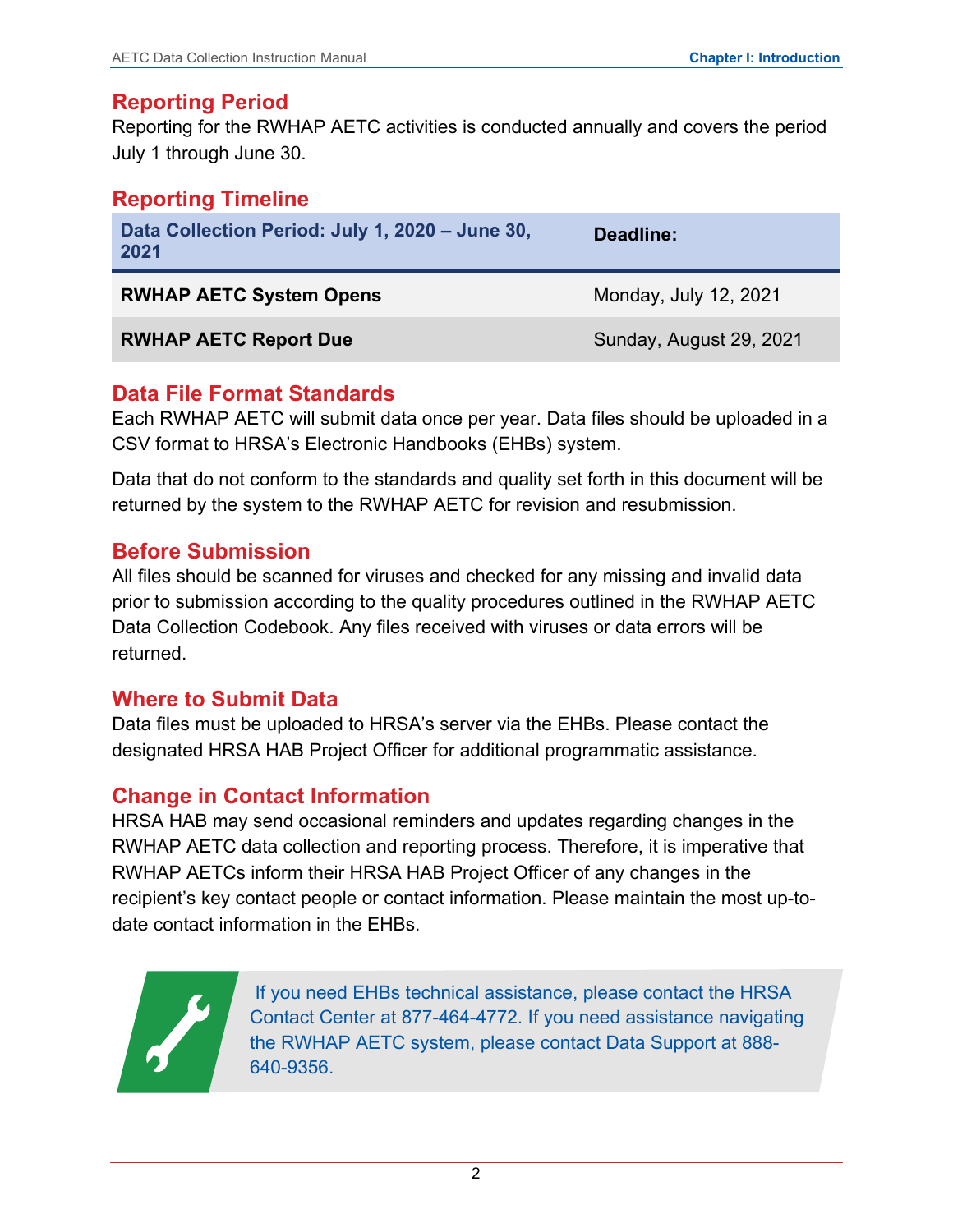## <span id="page-4-0"></span>**Reporting Period**

Reporting for the RWHAP AETC activities is conducted annually and covers the period July 1 through June 30.

## <span id="page-4-1"></span>**Reporting Timeline**

| Data Collection Period: July 1, 2020 - June 30,<br>2021 | Deadline:               |  |  |
|---------------------------------------------------------|-------------------------|--|--|
| <b>RWHAP AETC System Opens</b>                          | Monday, July 12, 2021   |  |  |
| <b>RWHAP AETC Report Due</b>                            | Sunday, August 29, 2021 |  |  |

## <span id="page-4-2"></span>**Data File Format Standards**

Each RWHAP AETC will submit data once per year. Data files should be uploaded in a CSV format to HRSA's Electronic Handbooks (EHBs) system.

Data that do not conform to the standards and quality set forth in this document will be returned by the system to the RWHAP AETC for revision and resubmission.

## <span id="page-4-3"></span>**Before Submission**

All files should be scanned for viruses and checked for any missing and invalid data prior to submission according to the quality procedures outlined in the RWHAP AETC Data Collection Codebook. Any files received with viruses or data errors will be returned.

## <span id="page-4-4"></span>**Where to Submit Data**

Data files must be uploaded to HRSA's server via the EHBs. Please contact the designated HRSA HAB Project Officer for additional programmatic assistance.

## <span id="page-4-5"></span>**Change in Contact Information**

HRSA HAB may send occasional reminders and updates regarding changes in the RWHAP AETC data collection and reporting process. Therefore, it is imperative that RWHAP AETCs inform their HRSA HAB Project Officer of any changes in the recipient's key contact people or contact information. Please maintain the most up-todate contact information in the EHBs.

> If you need EHBs technical assistance, please contact the HRSA Contact Center at 877-464-4772. If you need assistance navigating the RWHAP AETC system, please contact Data Support at 888- 640-9356.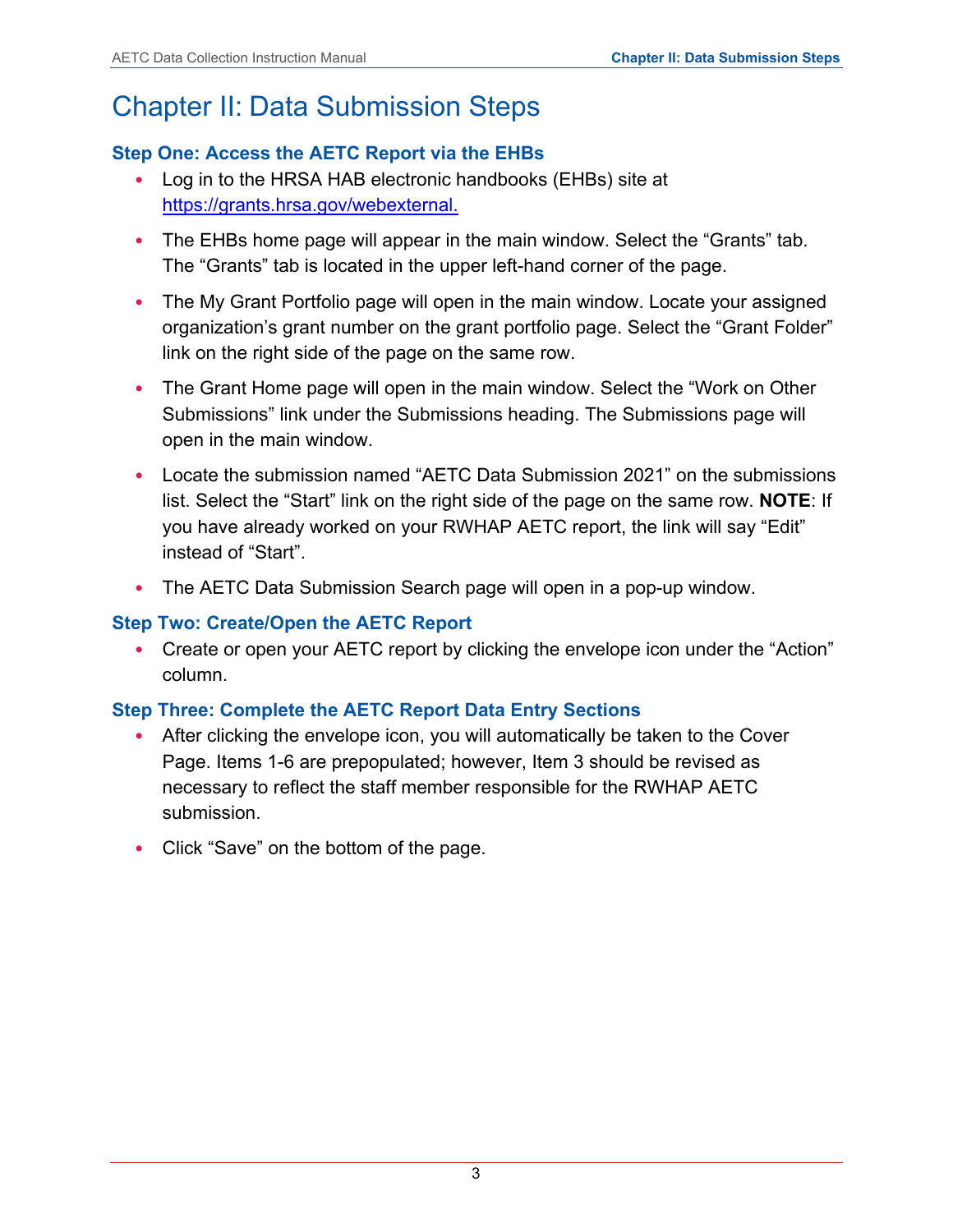# <span id="page-5-0"></span>Chapter II: Data Submission Steps

## **Step One: Access the AETC Report via the EHBs**

- Log in to the HRSA HAB electronic handbooks (EHBs) site at [https://grants.hrsa.gov/webexternal.](https://grants.hrsa.gov/webexternal)
- The EHBs home page will appear in the main window. Select the "Grants" tab. The "Grants" tab is located in the upper left-hand corner of the page.
- The My Grant Portfolio page will open in the main window. Locate your assigned organization's grant number on the grant portfolio page. Select the "Grant Folder" link on the right side of the page on the same row.
- The Grant Home page will open in the main window. Select the "Work on Other Submissions" link under the Submissions heading. The Submissions page will open in the main window.
- Locate the submission named "AETC Data Submission 2021" on the submissions list. Select the "Start" link on the right side of the page on the same row. **NOTE**: If you have already worked on your RWHAP AETC report, the link will say "Edit" instead of "Start".
- The AETC Data Submission Search page will open in a pop-up window.

## **Step Two: Create/Open the AETC Report**

• Create or open your AETC report by clicking the envelope icon under the "Action" column.

## **Step Three: Complete the AETC Report Data Entry Sections**

- After clicking the envelope icon, you will automatically be taken to the Cover Page. Items 1-6 are prepopulated; however, Item 3 should be revised as necessary to reflect the staff member responsible for the RWHAP AETC submission.
- Click "Save" on the bottom of the page.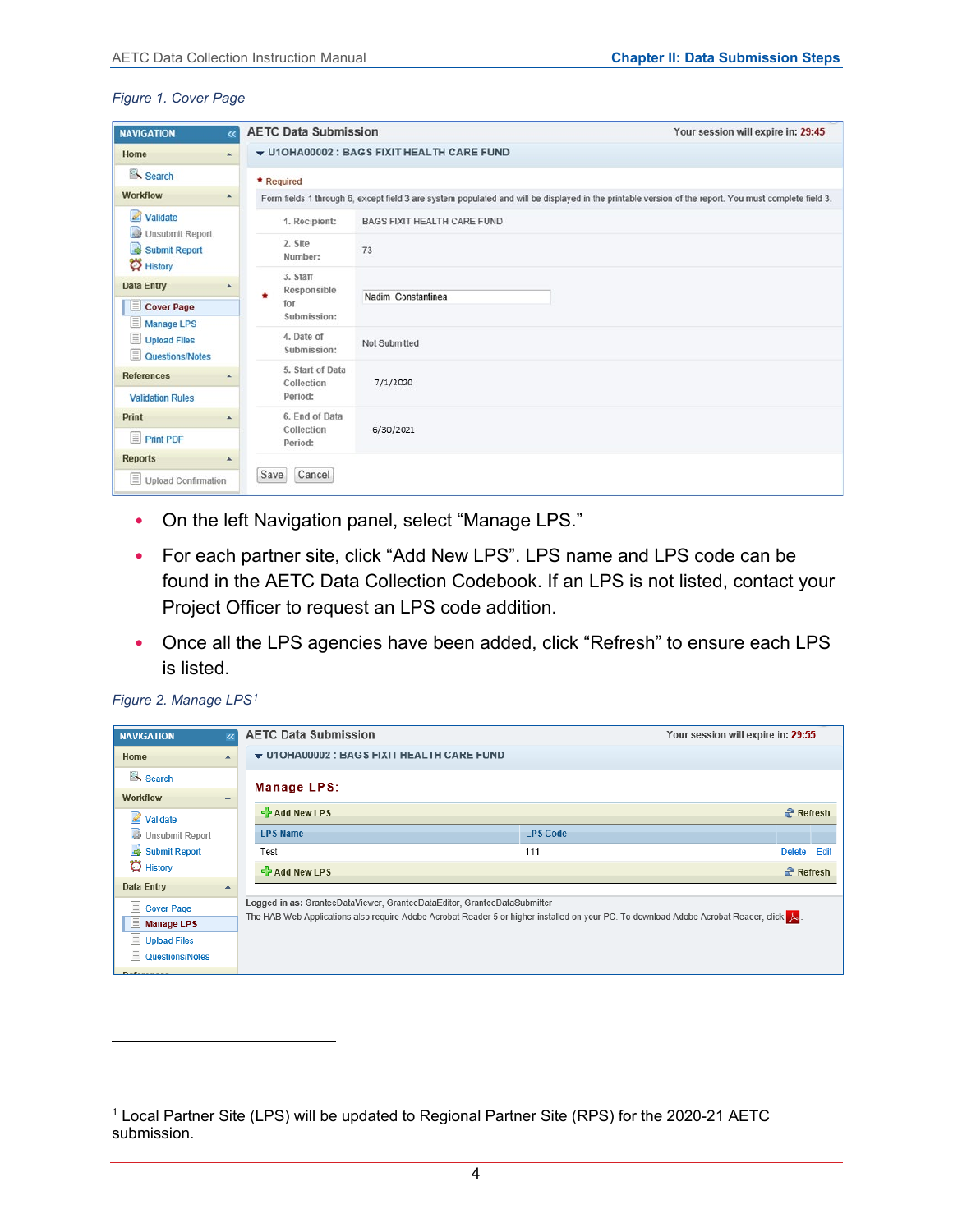#### *Figure 1. Cover Page*

| <b>NAVIGATION</b>                                           | $\overline{\bf{c}}$ | <b>AETC Data Submission</b>    | Your session will expire in: 29:45                                                                                                                    |
|-------------------------------------------------------------|---------------------|--------------------------------|-------------------------------------------------------------------------------------------------------------------------------------------------------|
| Home                                                        | A.                  |                                | U10HA00002 : BAGS FIXIT HEALTH CARE FUND                                                                                                              |
| Search                                                      |                     | * Required                     |                                                                                                                                                       |
| <b>Workflow</b>                                             | $\blacktriangle$    |                                | Form fields 1 through 6, except field 3 are system populated and will be displayed in the printable version of the report. You must complete field 3. |
| $\mathbb{Z}$<br>Validate<br><b>I</b>                        |                     | 1. Recipient:                  | <b>BAGS FIXIT HEALTH CARE FUND</b>                                                                                                                    |
| <b>Unsubmit Report</b><br>Submit Report<br><b>D</b> History |                     | 2. Site<br>Number:             | 73                                                                                                                                                    |
| <b>Data Entry</b>                                           | $\blacktriangle$    | 3. Staff                       |                                                                                                                                                       |
| Cover Page                                                  |                     | Responsible<br>٠<br>for        | Nadim Constantinea                                                                                                                                    |
| $\equiv$<br><b>Manage LPS</b>                               |                     | Submission:                    |                                                                                                                                                       |
| Upload Files<br>Questions/Notes                             |                     | 4. Date of<br>Submission:      | Not Submitted                                                                                                                                         |
| <b>References</b>                                           |                     | 5. Start of Data<br>Collection | 7/1/2020                                                                                                                                              |
| <b>Validation Rules</b>                                     |                     | Period:                        |                                                                                                                                                       |
| Print                                                       |                     | 6. End of Data                 |                                                                                                                                                       |
| <b>Print PDF</b>                                            |                     | Collection<br>Period:          | 6/30/2021                                                                                                                                             |
| <b>Reports</b>                                              | $\blacktriangle$    |                                |                                                                                                                                                       |
| $\equiv$ Upload Confirmation                                |                     | Cancel<br>Save                 |                                                                                                                                                       |

- On the left Navigation panel, select "Manage LPS."
- For each partner site, click "Add New LPS". LPS name and LPS code can be found in the AETC Data Collection Codebook. If an LPS is not listed, contact your Project Officer to request an LPS code addition.
- Once all the LPS agencies have been added, click "Refresh" to ensure each LPS is listed.

| <b>NAVIGATION</b>                         | <b>AETC Data Submission</b>                                                                                                          |                 | Your session will expire in: 29:55 |                        |
|-------------------------------------------|--------------------------------------------------------------------------------------------------------------------------------------|-----------------|------------------------------------|------------------------|
| Home                                      | ▼ U1OHA00002 : BAGS FIXIT HEALTH CARE FUND                                                                                           |                 |                                    |                        |
| Search                                    | Manage LPS:                                                                                                                          |                 |                                    |                        |
| <b>Workflow</b><br>$\mathscr{L}$ Validate | $\frac{1}{2}$ Add New LPS                                                                                                            |                 |                                    | <b>Refresh</b>         |
| Unsubmit Report                           | <b>LPS Name</b>                                                                                                                      | <b>LPS Code</b> |                                    |                        |
| Submit Report                             | Test                                                                                                                                 | 111             | Delete Edit                        |                        |
| $\ddot{\mathbf{Q}}$ History               | $\frac{1}{2}$ Add New LPS                                                                                                            |                 |                                    | $\mathbb{R}^n$ Refresh |
| <b>Data Entry</b>                         |                                                                                                                                      |                 |                                    |                        |
| <b>E</b> Cover Page                       | Logged in as: GranteeDataViewer, GranteeDataEditor, GranteeDataSubmitter                                                             |                 |                                    |                        |
| 旧<br><b>Manage LPS</b>                    | The HAB Web Applications also require Adobe Acrobat Reader 5 or higher installed on your PC. To download Adobe Acrobat Reader, click |                 |                                    |                        |
| E<br><b>Upload Files</b>                  |                                                                                                                                      |                 |                                    |                        |
| 目<br>Questions/Notes                      |                                                                                                                                      |                 |                                    |                        |
|                                           |                                                                                                                                      |                 |                                    |                        |

*Figure 2. Manage LPS[1](#page-6-0)*

<span id="page-6-0"></span><sup>1</sup> Local Partner Site (LPS) will be updated to Regional Partner Site (RPS) for the 2020-21 AETC submission.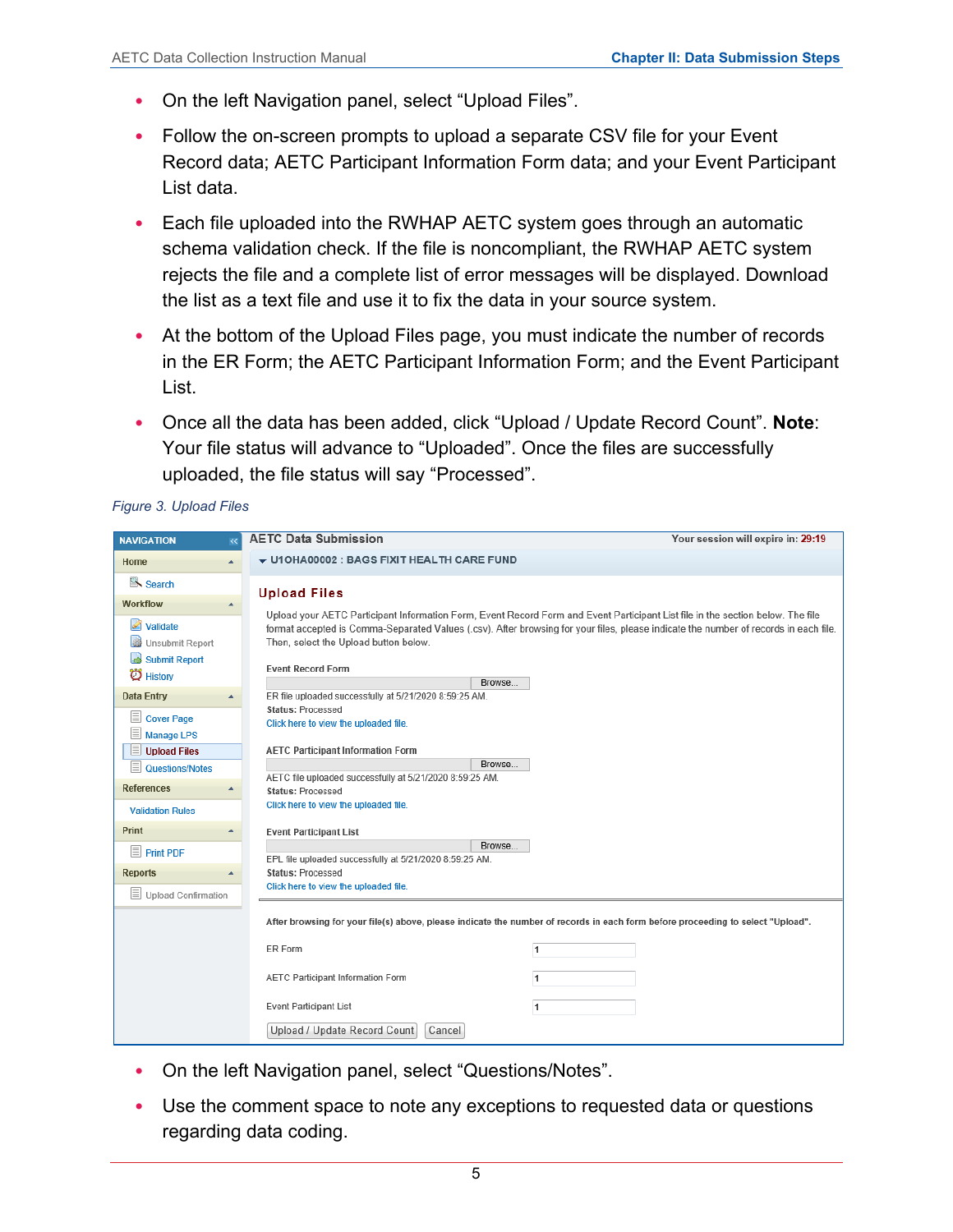- On the left Navigation panel, select "Upload Files".
- Follow the on-screen prompts to upload a separate CSV file for your Event Record data; AETC Participant Information Form data; and your Event Participant List data.
- Each file uploaded into the RWHAP AETC system goes through an automatic schema validation check. If the file is noncompliant, the RWHAP AETC system rejects the file and a complete list of error messages will be displayed. Download the list as a text file and use it to fix the data in your source system.
- At the bottom of the Upload Files page, you must indicate the number of records in the ER Form; the AETC Participant Information Form; and the Event Participant List.
- Once all the data has been added, click "Upload / Update Record Count". **Note**: Your file status will advance to "Uploaded". Once the files are successfully uploaded, the file status will say "Processed".

*Figure 3. Upload Files*

| <b>NAVIGATION</b><br>$\ll$                                     | <b>AETC Data Submission</b>                                                                                                     | Your session will expire in: 29:19                                                                                                                                                                                                                                      |
|----------------------------------------------------------------|---------------------------------------------------------------------------------------------------------------------------------|-------------------------------------------------------------------------------------------------------------------------------------------------------------------------------------------------------------------------------------------------------------------------|
| Home                                                           | ▼ U1OHA00002 : BAGS FIXIT HEALTH CARE FUND                                                                                      |                                                                                                                                                                                                                                                                         |
| Search                                                         | <b>Upload Files</b>                                                                                                             |                                                                                                                                                                                                                                                                         |
| <b>Workflow</b>                                                |                                                                                                                                 |                                                                                                                                                                                                                                                                         |
| Ø<br>Validate<br>Unsubmit Report<br>Submit Report<br>C History | Then, select the Upload button below.<br><b>Event Record Form</b><br>Browse                                                     | Upload your AETC Participant Information Form, Event Record Form and Event Participant List file in the section below. The file<br>format accepted is Comma-Separated Values (.csv). After browsing for your files, please indicate the number of records in each file. |
| <b>Data Entry</b>                                              | ER file uploaded successfully at 5/21/2020 8:59:25 AM.                                                                          |                                                                                                                                                                                                                                                                         |
| IΞ<br><b>Cover Page</b><br><b>Manage LPS</b>                   | <b>Status: Processed</b><br>Click here to view the uploaded file.                                                               |                                                                                                                                                                                                                                                                         |
| <b>Upload Files</b><br>⊫                                       | <b>AETC Participant Information Form</b>                                                                                        |                                                                                                                                                                                                                                                                         |
| 目<br>Questions/Notes                                           | Browse                                                                                                                          |                                                                                                                                                                                                                                                                         |
| <b>References</b>                                              | AETC file uploaded successfully at 5/21/2020 8:59:25 AM.<br><b>Status: Processed</b>                                            |                                                                                                                                                                                                                                                                         |
| <b>Validation Rules</b>                                        | Click here to view the uploaded file.                                                                                           |                                                                                                                                                                                                                                                                         |
| Print                                                          | <b>Event Participant List</b>                                                                                                   |                                                                                                                                                                                                                                                                         |
| $\equiv$<br><b>Print PDF</b>                                   | Browse<br>EPL file uploaded successfully at 5/21/2020 8:59:25 AM.                                                               |                                                                                                                                                                                                                                                                         |
| <b>Reports</b>                                                 | <b>Status: Processed</b>                                                                                                        |                                                                                                                                                                                                                                                                         |
| $\equiv$ Upload Confirmation                                   | Click here to view the uploaded file.                                                                                           |                                                                                                                                                                                                                                                                         |
|                                                                | After browsing for your file(s) above, please indicate the number of records in each form before proceeding to select "Upload". |                                                                                                                                                                                                                                                                         |
|                                                                | ER Form<br>$\mathbf{1}$                                                                                                         |                                                                                                                                                                                                                                                                         |
|                                                                | <b>AETC Participant Information Form</b><br>$\overline{1}$                                                                      |                                                                                                                                                                                                                                                                         |
|                                                                | <b>Event Participant List</b><br>$\overline{1}$                                                                                 |                                                                                                                                                                                                                                                                         |
|                                                                | Upload / Update Record Count<br>Cancel                                                                                          |                                                                                                                                                                                                                                                                         |

- On the left Navigation panel, select "Questions/Notes".
- Use the comment space to note any exceptions to requested data or questions regarding data coding.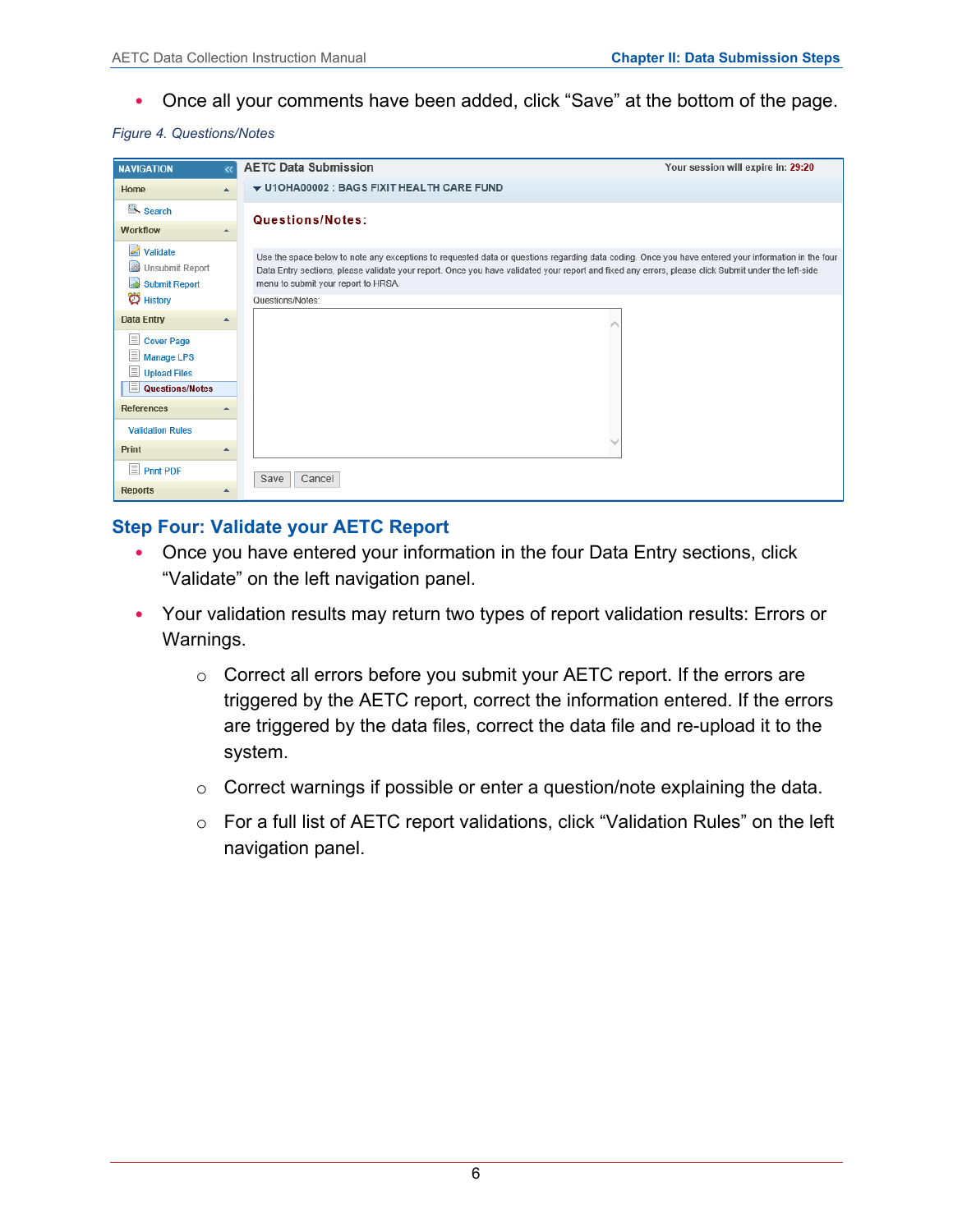• Once all your comments have been added, click "Save" at the bottom of the page.

#### *Figure 4. Questions/Notes*

| <b>NAVIGATION</b>                                             |                  | <b>AETC Data Submission</b>                                                                                                                                                                                                                                                                                                                       | Your session will expire in: 29:20 |
|---------------------------------------------------------------|------------------|---------------------------------------------------------------------------------------------------------------------------------------------------------------------------------------------------------------------------------------------------------------------------------------------------------------------------------------------------|------------------------------------|
| Home                                                          | $\blacktriangle$ | ▼ U1OHA00002 : BAGS FIXIT HEALTH CARE FUND                                                                                                                                                                                                                                                                                                        |                                    |
| Search                                                        |                  | Questions/Notes:                                                                                                                                                                                                                                                                                                                                  |                                    |
| <b>Workflow</b>                                               |                  |                                                                                                                                                                                                                                                                                                                                                   |                                    |
| $\mathscr{A}$<br>Validate<br>Unsubmit Report<br>Submit Report |                  | Use the space below to note any exceptions to requested data or questions regarding data coding. Once you have entered your information in the four<br>Data Entry sections, please validate your report. Once you have validated your report and fixed any errors, please click Submit under the left-side<br>menu to submit your report to HRSA. |                                    |
| C History                                                     |                  | Questions/Notes:                                                                                                                                                                                                                                                                                                                                  |                                    |
| <b>Data Entry</b>                                             |                  |                                                                                                                                                                                                                                                                                                                                                   |                                    |
| $\equiv$<br><b>Cover Page</b><br>Manage LPS<br>Upload Files   |                  |                                                                                                                                                                                                                                                                                                                                                   |                                    |
| E<br>Questions/Notes                                          |                  |                                                                                                                                                                                                                                                                                                                                                   |                                    |
| <b>References</b>                                             |                  |                                                                                                                                                                                                                                                                                                                                                   |                                    |
| <b>Validation Rules</b>                                       |                  |                                                                                                                                                                                                                                                                                                                                                   |                                    |
| Print                                                         |                  |                                                                                                                                                                                                                                                                                                                                                   |                                    |
| $\equiv$ Print PDF                                            |                  | Cancel<br>Save                                                                                                                                                                                                                                                                                                                                    |                                    |
| <b>Reports</b>                                                |                  |                                                                                                                                                                                                                                                                                                                                                   |                                    |

#### **Step Four: Validate your AETC Report**

- Once you have entered your information in the four Data Entry sections, click "Validate" on the left navigation panel.
- Your validation results may return two types of report validation results: Errors or Warnings.
	- o Correct all errors before you submit your AETC report. If the errors are triggered by the AETC report, correct the information entered. If the errors are triggered by the data files, correct the data file and re-upload it to the system.
	- o Correct warnings if possible or enter a question/note explaining the data.
	- o For a full list of AETC report validations, click "Validation Rules" on the left navigation panel.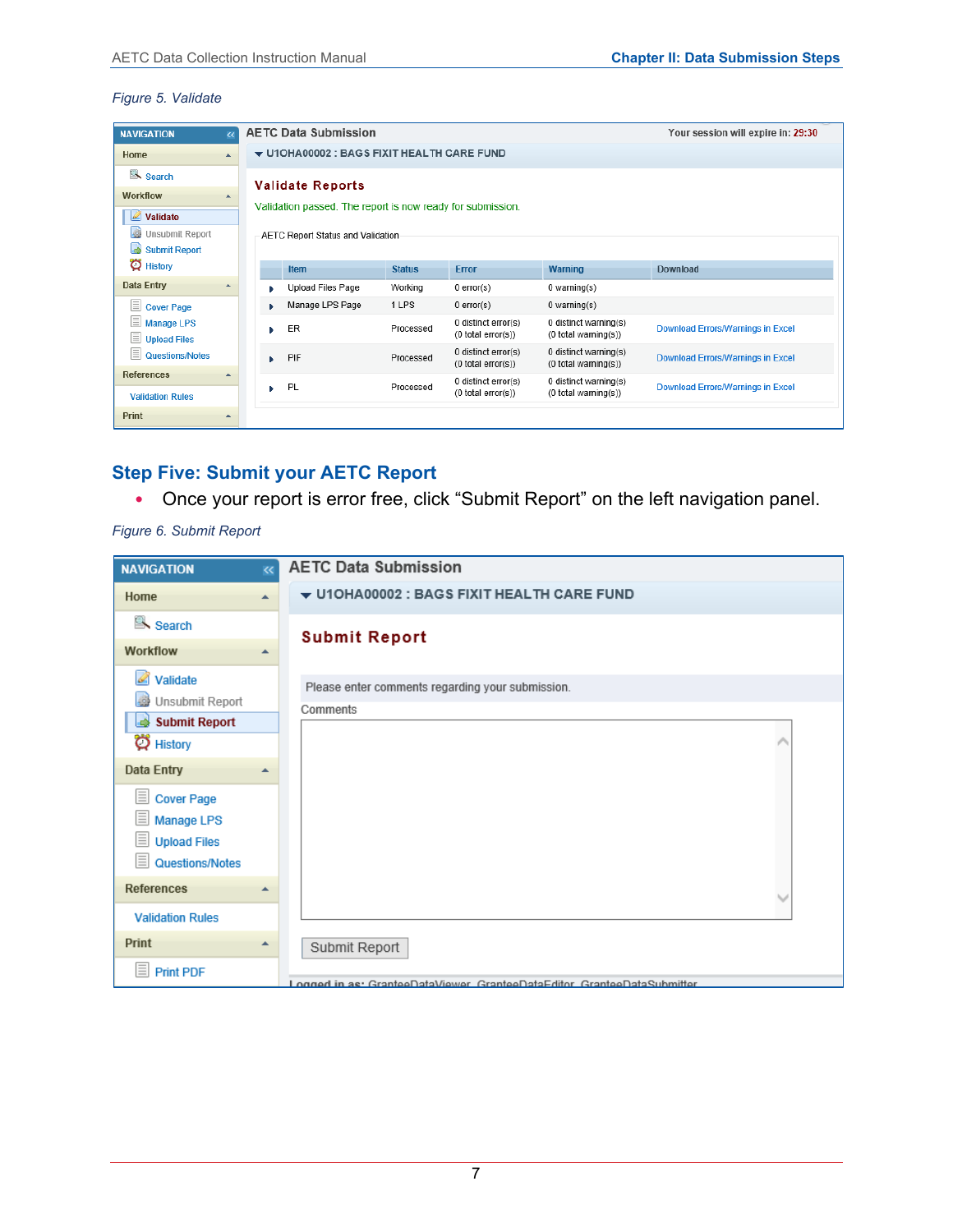#### *Figure 5. Validate*

| <b>NAVIGATION</b>                                   |           |  | <b>AETC Data Submission</b><br>Your session will expire in: 29:30 |               |                                           |                                                     |                                          |  |  |  |  |
|-----------------------------------------------------|-----------|--|-------------------------------------------------------------------|---------------|-------------------------------------------|-----------------------------------------------------|------------------------------------------|--|--|--|--|
| Home                                                | ×         |  | ▼ U1OHA00002 : BAGS FIXIT HEALTH CARE FUND                        |               |                                           |                                                     |                                          |  |  |  |  |
| Search                                              |           |  | <b>Validate Reports</b>                                           |               |                                           |                                                     |                                          |  |  |  |  |
| Workflow                                            |           |  |                                                                   |               |                                           |                                                     |                                          |  |  |  |  |
| $\triangle$ Validate                                |           |  | Validation passed. The report is now ready for submission.        |               |                                           |                                                     |                                          |  |  |  |  |
| l.<br>Unsubmit Report                               |           |  | AETC Report Status and Validation                                 |               |                                           |                                                     |                                          |  |  |  |  |
| l۵<br><b>Submit Report</b>                          |           |  |                                                                   |               |                                           |                                                     |                                          |  |  |  |  |
|                                                     | C History |  |                                                                   | <b>Status</b> | Error                                     | <b>Warning</b>                                      | Download                                 |  |  |  |  |
| <b>Data Entry</b>                                   |           |  | <b>Upload Files Page</b>                                          | Working       | $0$ error(s)                              | 0 warning(s)                                        |                                          |  |  |  |  |
| E<br><b>Cover Page</b>                              |           |  | Manage LPS Page                                                   | 1 LPS         | $0$ error(s)                              | $0$ warning(s)                                      |                                          |  |  |  |  |
| ΞI<br><b>Manage LPS</b><br>E<br><b>Upload Files</b> |           |  | ER                                                                | Processed     | 0 distinct error(s)<br>(0 total error(s)) | 0 distinct warning(s)<br>$(0$ total warning $(s)$ ) | <b>Download Errors/Warnings in Excel</b> |  |  |  |  |
| $\equiv$<br>Questions/Notes                         |           |  | PIF                                                               | Processed     | 0 distinct error(s)<br>(0 total error(s)) | 0 distinct warning(s)<br>$(0$ total warning $(s)$ ) | <b>Download Errors/Warnings in Excel</b> |  |  |  |  |
| <b>References</b><br><b>Validation Rules</b>        |           |  | PL                                                                | Processed     | 0 distinct error(s)<br>(0 total error(s)) | 0 distinct warning(s)<br>$(0$ total warning $(s)$ ) | <b>Download Errors/Warnings in Excel</b> |  |  |  |  |
| <b>Print</b>                                        |           |  |                                                                   |               |                                           |                                                     |                                          |  |  |  |  |

## **Step Five: Submit your AETC Report**

• Once your report is error free, click "Submit Report" on the left navigation panel.

*Figure 6. Submit Report*

| <b>NAVIGATION</b>                                                                | $\overline{\textbf{K}}$ | <b>AETC Data Submission</b>                                              |
|----------------------------------------------------------------------------------|-------------------------|--------------------------------------------------------------------------|
| Home                                                                             | ▲                       | $\blacktriangledown$ U10HA00002 : BAGS FIXIT HEALTH CARE FUND            |
| Search<br>Workflow                                                               | ▲                       | <b>Submit Report</b>                                                     |
| Validate<br>Unsubmit Report<br>Submit Report<br>C History                        |                         | Please enter comments regarding your submission.<br>Comments             |
| Data Entry                                                                       | ٠                       |                                                                          |
| <b>Cover Page</b><br><b>Manage LPS</b><br><b>Upload Files</b><br>Questions/Notes |                         |                                                                          |
| <b>References</b>                                                                | ᆂ                       |                                                                          |
| <b>Validation Rules</b>                                                          |                         |                                                                          |
| Print                                                                            | ዹ                       | Submit Report                                                            |
| <b>Print PDF</b>                                                                 |                         | Logged in as: GranteeDataViewer, GranteeDataEditor, GranteeDataSubmitter |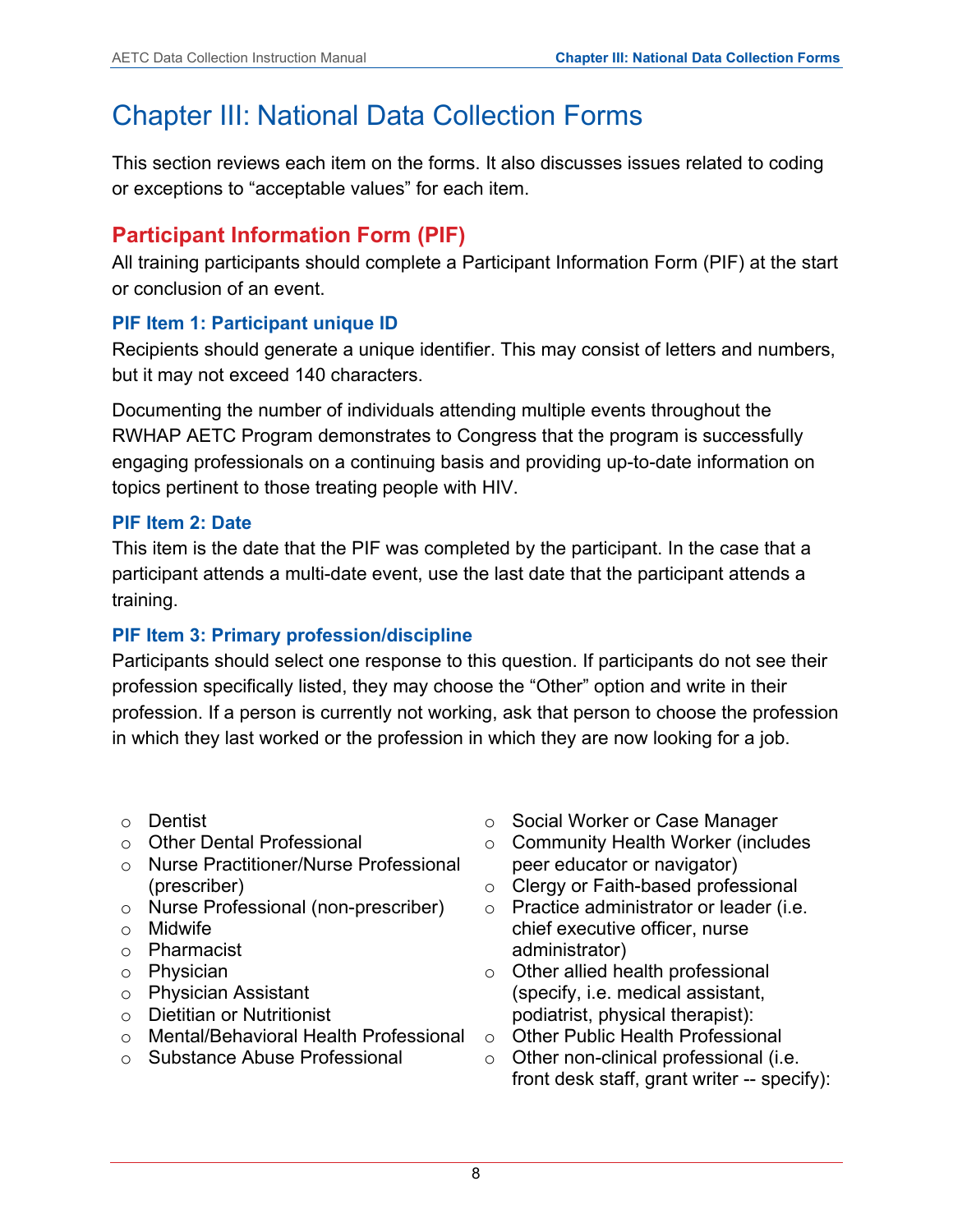# <span id="page-10-0"></span>Chapter III: National Data Collection Forms

This section reviews each item on the forms. It also discusses issues related to coding or exceptions to "acceptable values" for each item.

## <span id="page-10-1"></span>**Participant Information Form (PIF)**

All training participants should complete a Participant Information Form (PIF) at the start or conclusion of an event.

## **PIF Item 1: Participant unique ID**

Recipients should generate a unique identifier. This may consist of letters and numbers, but it may not exceed 140 characters.

Documenting the number of individuals attending multiple events throughout the RWHAP AETC Program demonstrates to Congress that the program is successfully engaging professionals on a continuing basis and providing up-to-date information on topics pertinent to those treating people with HIV.

## **PIF Item 2: Date**

This item is the date that the PIF was completed by the participant. In the case that a participant attends a multi-date event, use the last date that the participant attends a training.

## **PIF Item 3: Primary profession/discipline**

Participants should select one response to this question. If participants do not see their profession specifically listed, they may choose the "Other" option and write in their profession. If a person is currently not working, ask that person to choose the profession in which they last worked or the profession in which they are now looking for a job.

- o Dentist
- o Other Dental Professional
- o Nurse Practitioner/Nurse Professional (prescriber)
- o Nurse Professional (non-prescriber)
- o Midwife
- o Pharmacist
- o Physician
- o Physician Assistant
- o Dietitian or Nutritionist
- o Mental/Behavioral Health Professional
- o Substance Abuse Professional
- o Social Worker or Case Manager
- o Community Health Worker (includes peer educator or navigator)
- o Clergy or Faith-based professional
- o Practice administrator or leader (i.e. chief executive officer, nurse administrator)
- o Other allied health professional (specify, i.e. medical assistant, podiatrist, physical therapist):
- o Other Public Health Professional
- o Other non-clinical professional (i.e. front desk staff, grant writer -- specify):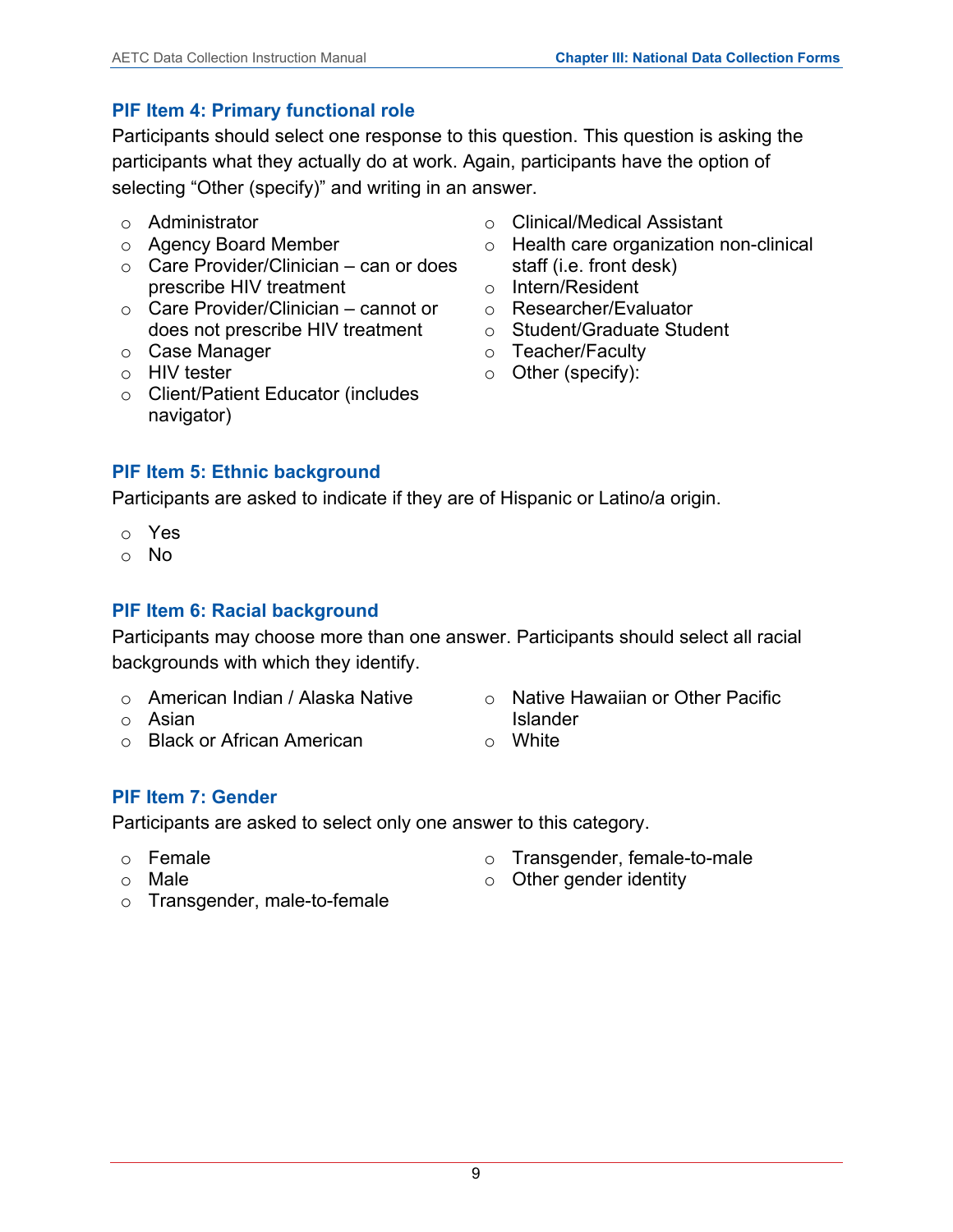## **PIF Item 4: Primary functional role**

Participants should select one response to this question. This question is asking the participants what they actually do at work. Again, participants have the option of selecting "Other (specify)" and writing in an answer.

- o Administrator
- o Agency Board Member
- o Care Provider/Clinician can or does prescribe HIV treatment
- o Care Provider/Clinician cannot or does not prescribe HIV treatment
- o Case Manager
- o HIV tester
- o Client/Patient Educator (includes navigator)
- o Clinical/Medical Assistant
- o Health care organization non-clinical staff (i.e. front desk)
- o Intern/Resident
- o Researcher/Evaluator
- o Student/Graduate Student
- o Teacher/Faculty
- o Other (specify):

## **PIF Item 5: Ethnic background**

Participants are asked to indicate if they are of Hispanic or Latino/a origin.

- o Yes
- o No

## **PIF Item 6: Racial background**

Participants may choose more than one answer. Participants should select all racial backgrounds with which they identify.

- o American Indian / Alaska Native
- o Asian
- o Black or African American
- o Native Hawaiian or Other Pacific Islander
- o White

## **PIF Item 7: Gender**

Participants are asked to select only one answer to this category.

- o Female
- o Male
- o Transgender, female-to-male
- $\circ$  Other gender identity
- o Transgender, male-to-female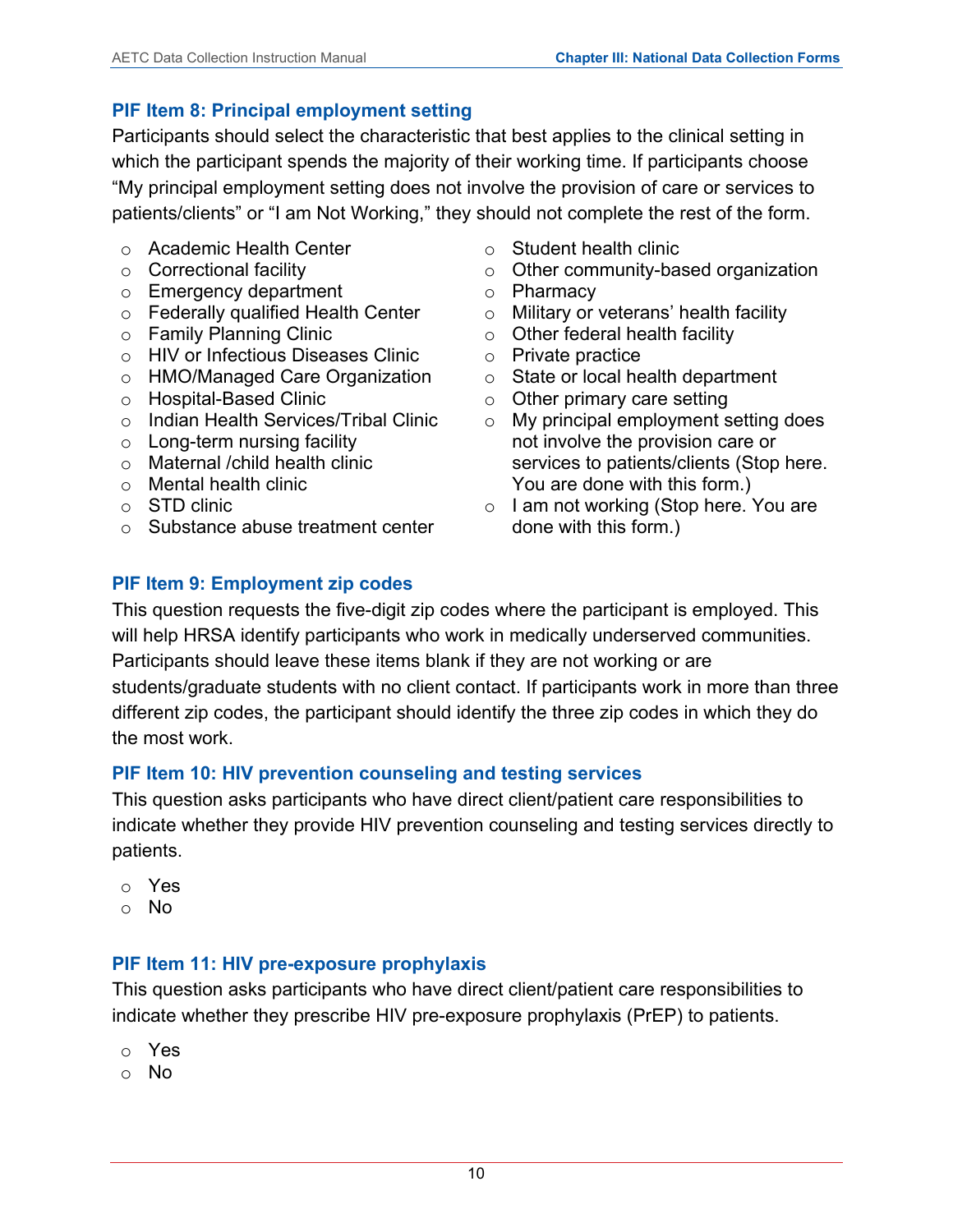## **PIF Item 8: Principal employment setting**

Participants should select the characteristic that best applies to the clinical setting in which the participant spends the majority of their working time. If participants choose "My principal employment setting does not involve the provision of care or services to patients/clients" or "I am Not Working," they should not complete the rest of the form.

- o Academic Health Center
- o Correctional facility
- o Emergency department
- o Federally qualified Health Center
- o Family Planning Clinic
- o HIV or Infectious Diseases Clinic
- o HMO/Managed Care Organization
- o Hospital-Based Clinic
- o Indian Health Services/Tribal Clinic
- o Long-term nursing facility
- o Maternal /child health clinic
- o Mental health clinic
- o STD clinic
- o Substance abuse treatment center
- o Student health clinic
- o Other community-based organization
- o Pharmacy
- o Military or veterans' health facility
- $\circ$  Other federal health facility
- o Private practice
- o State or local health department
- o Other primary care setting
- o My principal employment setting does not involve the provision care or services to patients/clients (Stop here. You are done with this form.)
- o I am not working (Stop here. You are done with this form.)

## **PIF Item 9: Employment zip codes**

This question requests the five-digit zip codes where the participant is employed. This will help HRSA identify participants who work in medically underserved communities. Participants should leave these items blank if they are not working or are students/graduate students with no client contact. If participants work in more than three different zip codes, the participant should identify the three zip codes in which they do the most work.

## **PIF Item 10: HIV prevention counseling and testing services**

This question asks participants who have direct client/patient care responsibilities to indicate whether they provide HIV prevention counseling and testing services directly to patients.

- o Yes
- o No

## **PIF Item 11: HIV pre-exposure prophylaxis**

This question asks participants who have direct client/patient care responsibilities to indicate whether they prescribe HIV pre-exposure prophylaxis (PrEP) to patients.

- o Yes
- o No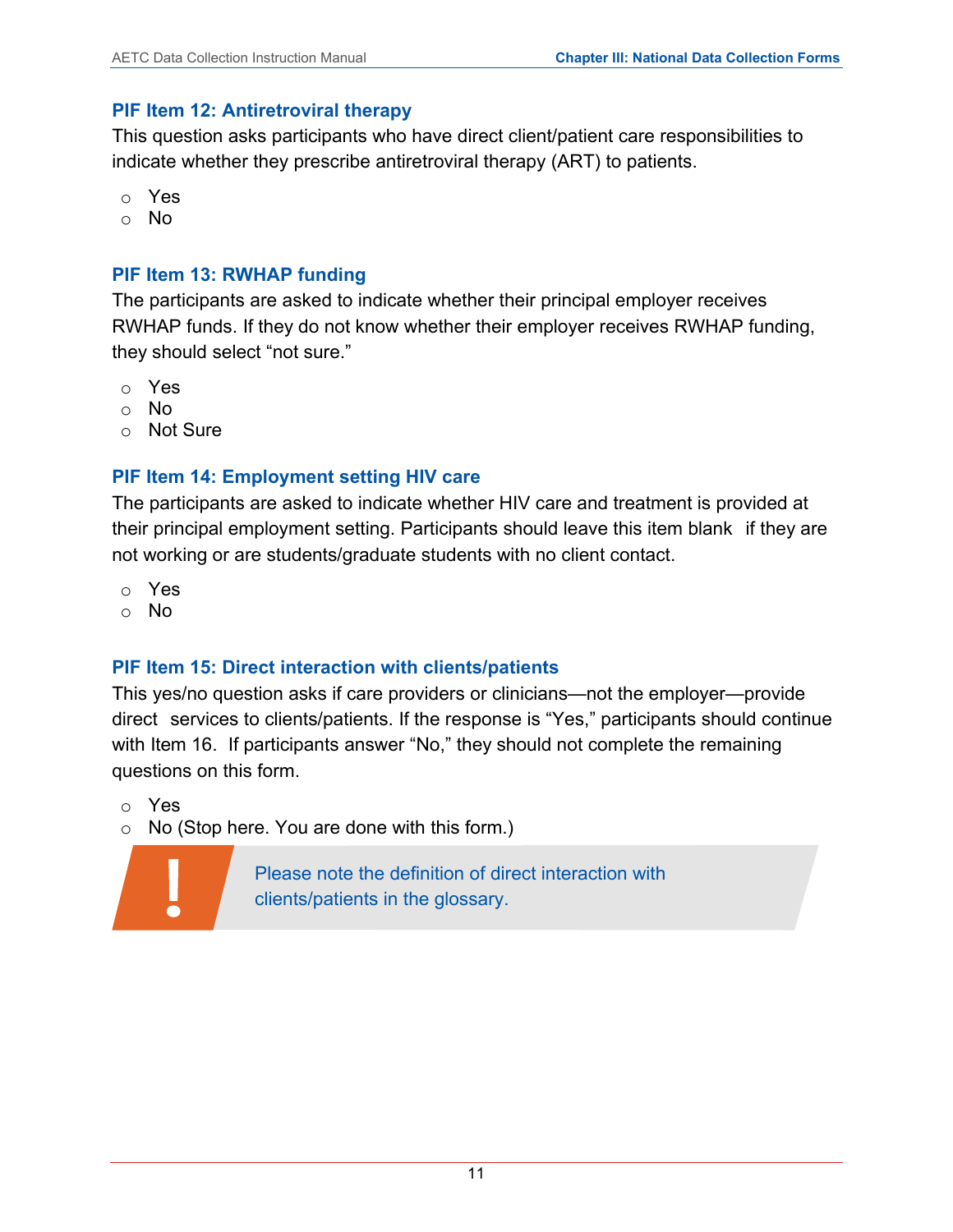#### **PIF Item 12: Antiretroviral therapy**

This question asks participants who have direct client/patient care responsibilities to indicate whether they prescribe antiretroviral therapy (ART) to patients.

- o Yes
- o No

#### **PIF Item 13: RWHAP funding**

The participants are asked to indicate whether their principal employer receives RWHAP funds. If they do not know whether their employer receives RWHAP funding, they should select "not sure."

- o Yes
- o No
- o Not Sure

## **PIF Item 14: Employment setting HIV care**

The participants are asked to indicate whether HIV care and treatment is provided at their principal employment setting. Participants should leave this item blank if they are not working or are students/graduate students with no client contact.

- o Yes
- o No

## **PIF Item 15: Direct interaction with clients/patients**

This yes/no question asks if care providers or clinicians—not the employer—provide direct services to clients/patients. If the response is "Yes," participants should continue with Item 16. If participants answer "No," they should not complete the remaining questions on this form.

o Yes

o No (Stop here. You are done with this form.)



Please note the definition of direct interaction with clients/patients in the glossary.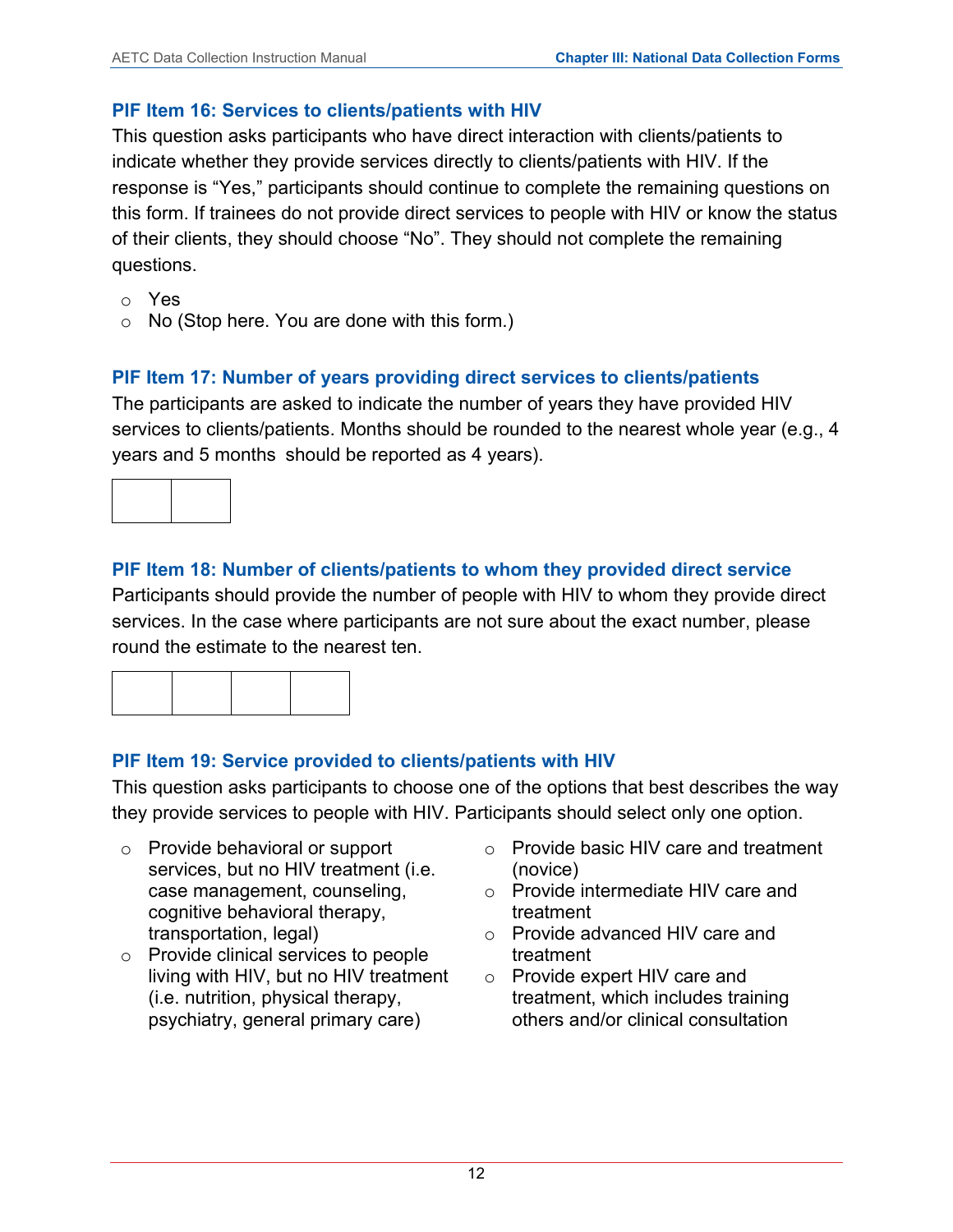#### **PIF Item 16: Services to clients/patients with HIV**

This question asks participants who have direct interaction with clients/patients to indicate whether they provide services directly to clients/patients with HIV. If the response is "Yes," participants should continue to complete the remaining questions on this form. If trainees do not provide direct services to people with HIV or know the status of their clients, they should choose "No". They should not complete the remaining questions.

- o Yes
- o No (Stop here. You are done with this form.)

## **PIF Item 17: Number of years providing direct services to clients/patients**

The participants are asked to indicate the number of years they have provided HIV services to clients/patients. Months should be rounded to the nearest whole year (e.g., 4 years and 5 months should be reported as 4 years).



## **PIF Item 18: Number of clients/patients to whom they provided direct service**

Participants should provide the number of people with HIV to whom they provide direct services. In the case where participants are not sure about the exact number, please round the estimate to the nearest ten.

## **PIF Item 19: Service provided to clients/patients with HIV**

This question asks participants to choose one of the options that best describes the way they provide services to people with HIV. Participants should select only one option.

- o Provide behavioral or support services, but no HIV treatment (i.e. case management, counseling, cognitive behavioral therapy, transportation, legal)
- o Provide clinical services to people living with HIV, but no HIV treatment (i.e. nutrition, physical therapy, psychiatry, general primary care)
- o Provide basic HIV care and treatment (novice)
- o Provide intermediate HIV care and treatment
- o Provide advanced HIV care and treatment
- o Provide expert HIV care and treatment, which includes training others and/or clinical consultation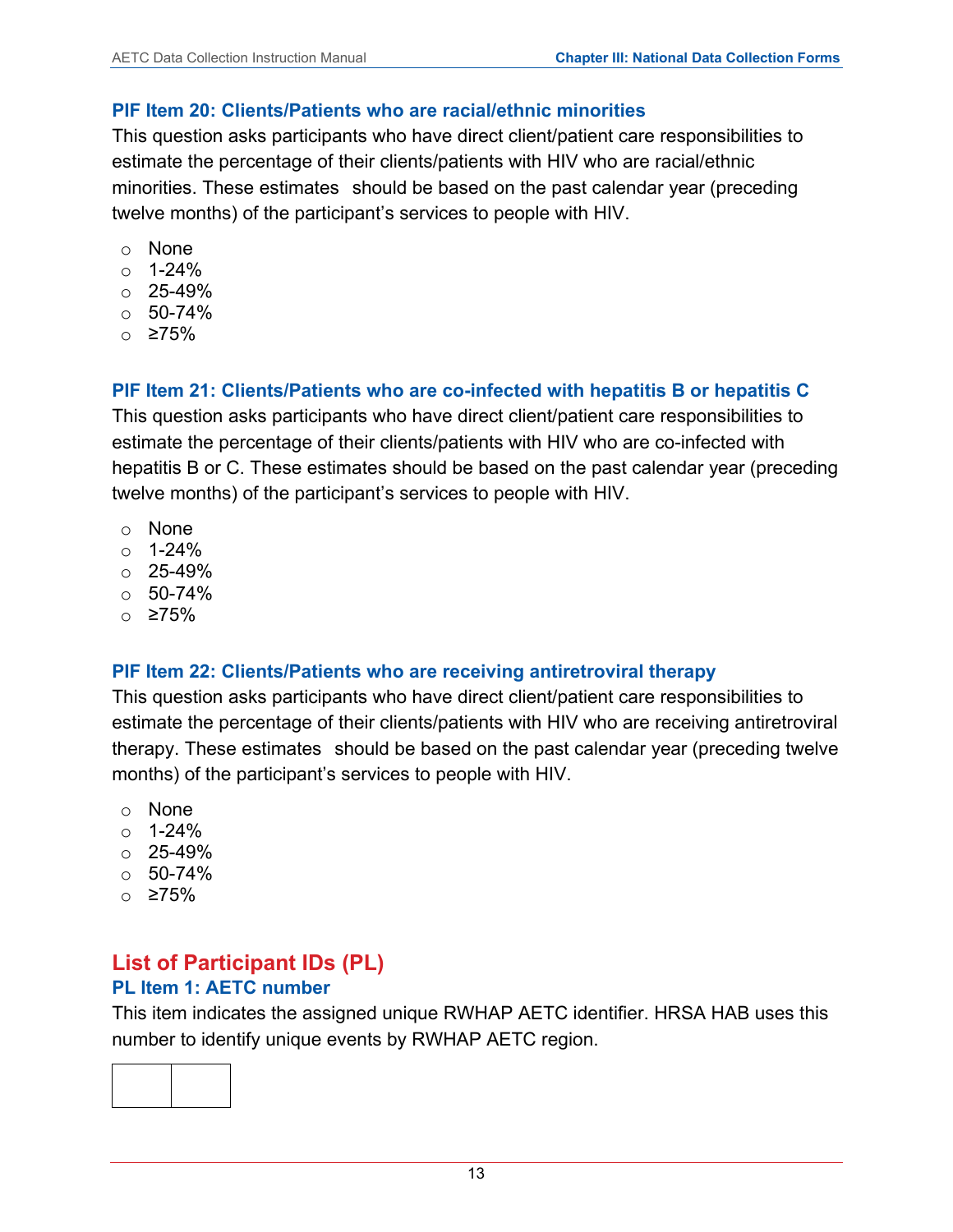#### **PIF Item 20: Clients/Patients who are racial/ethnic minorities**

This question asks participants who have direct client/patient care responsibilities to estimate the percentage of their clients/patients with HIV who are racial/ethnic minorities. These estimates should be based on the past calendar year (preceding twelve months) of the participant's services to people with HIV.

- o None
- o 1-24%
- $\circ$  25-49%
- $\circ$  50-74%
- o ≥75%

## **PIF Item 21: Clients/Patients who are co-infected with hepatitis B or hepatitis C**

This question asks participants who have direct client/patient care responsibilities to estimate the percentage of their clients/patients with HIV who are co-infected with hepatitis B or C. These estimates should be based on the past calendar year (preceding twelve months) of the participant's services to people with HIV.

- o None
- o 1-24%
- $\circ$  25-49%
- $\circ$  50-74%
- o ≥75%

## **PIF Item 22: Clients/Patients who are receiving antiretroviral therapy**

This question asks participants who have direct client/patient care responsibilities to estimate the percentage of their clients/patients with HIV who are receiving antiretroviral therapy. These estimates should be based on the past calendar year (preceding twelve months) of the participant's services to people with HIV.

- o None
- o 1-24%
- $\circ$  25-49%
- $O 50 74%$
- o ≥75%

## <span id="page-15-0"></span>**List of Participant IDs (PL) PL Item 1: AETC number**

This item indicates the assigned unique RWHAP AETC identifier. HRSA HAB uses this number to identify unique events by RWHAP AETC region.

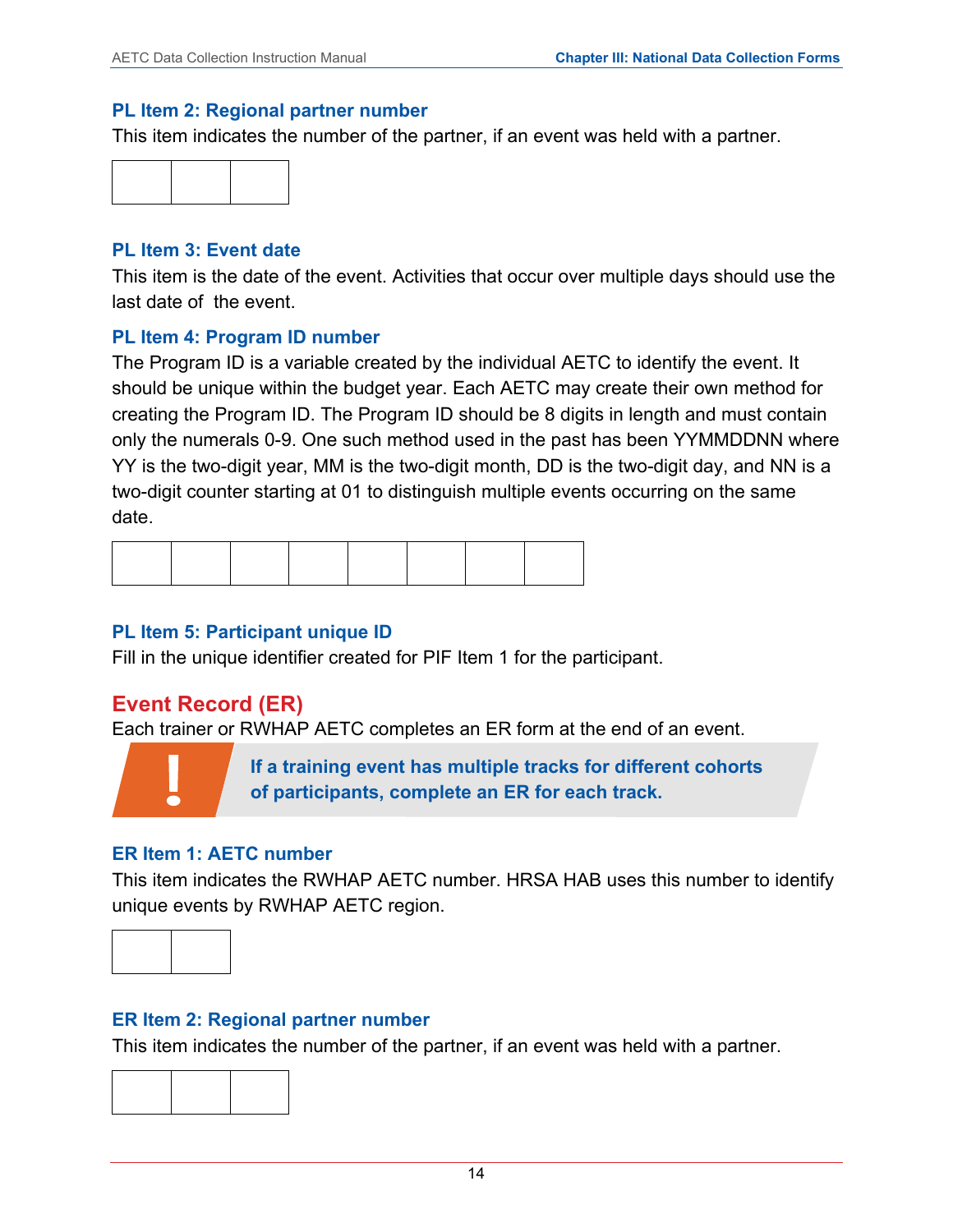#### **PL Item 2: Regional partner number**

This item indicates the number of the partner, if an event was held with a partner.



#### **PL Item 3: Event date**

This item is the date of the event. Activities that occur over multiple days should use the last date of the event.

#### **PL Item 4: Program ID number**

The Program ID is a variable created by the individual AETC to identify the event. It should be unique within the budget year. Each AETC may create their own method for creating the Program ID. The Program ID should be 8 digits in length and must contain only the numerals 0-9. One such method used in the past has been YYMMDDNN where YY is the two-digit year, MM is the two-digit month, DD is the two-digit day, and NN is a two-digit counter starting at 01 to distinguish multiple events occurring on the same date.

## **PL Item 5: Participant unique ID**

Fill in the unique identifier created for PIF Item 1 for the participant.

## <span id="page-16-0"></span>**Event Record (ER)**

Each trainer or RWHAP AETC completes an ER form at the end of an event.



**If a training event has multiple tracks for different cohorts of participants, complete an ER for each track.**

## **ER Item 1: AETC number**

This item indicates the RWHAP AETC number. HRSA HAB uses this number to identify unique events by RWHAP AETC region.



## **ER Item 2: Regional partner number**

This item indicates the number of the partner, if an event was held with a partner.

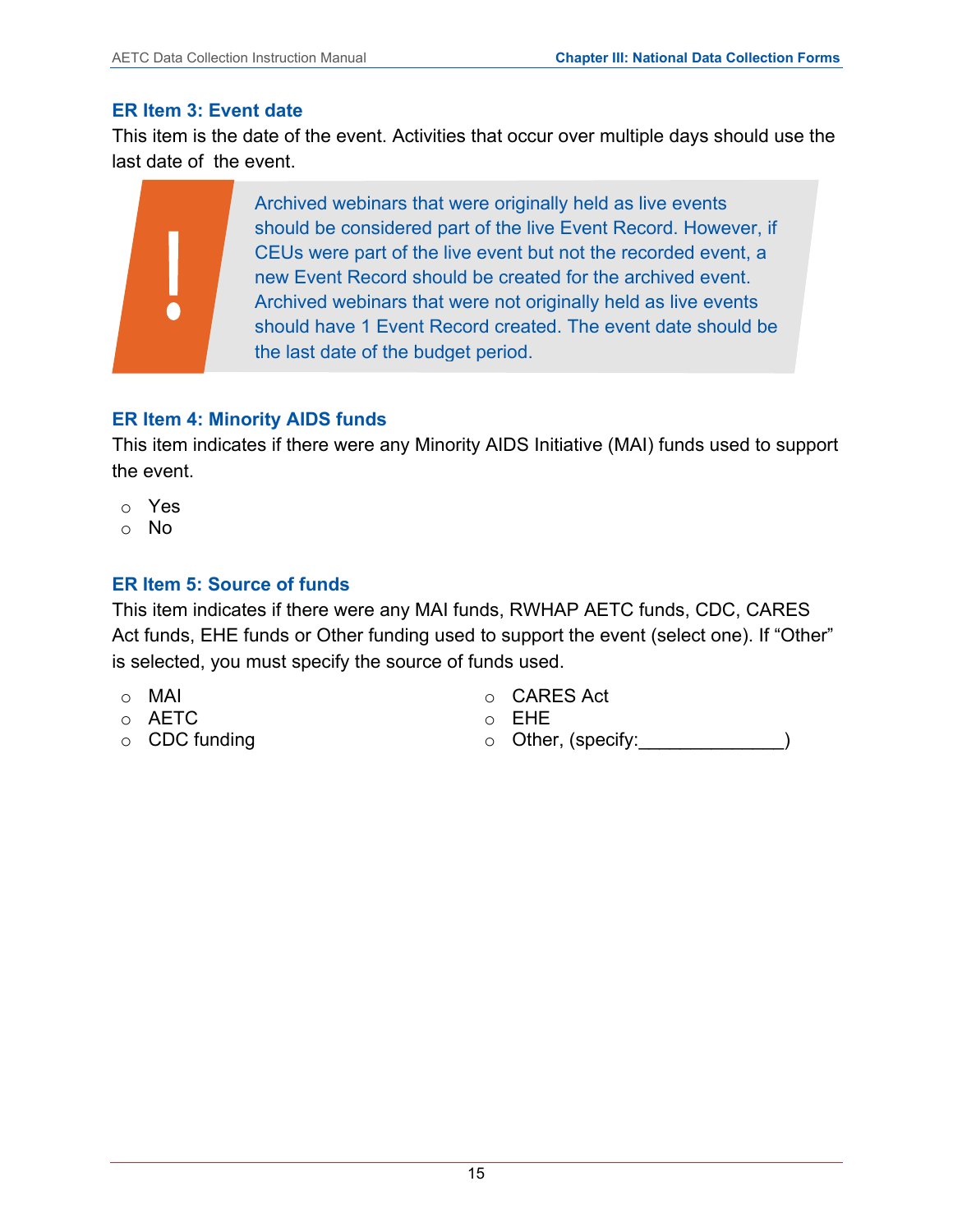#### **ER Item 3: Event date**

This item is the date of the event. Activities that occur over multiple days should use the last date of the event.

Archived webinars that were originally held as live events should be considered part of the live Event Record. However, if CEUs were part of the live event but not the recorded event, a new Event Record should be created for the archived event. Archived webinars that were not originally held as live events should have 1 Event Record created. The event date should be the last date of the budget period.

## **ER Item 4: Minority AIDS funds**

This item indicates if there were any Minority AIDS Initiative (MAI) funds used to support the event.

- o Yes
- o No

## **ER Item 5: Source of funds**

This item indicates if there were any MAI funds, RWHAP AETC funds, CDC, CARES Act funds, EHE funds or Other funding used to support the event (select one). If "Other" is selected, you must specify the source of funds used.

- o MAI
- o AETC
- o CDC funding
- o CARES Act
- o EHE
- o Other, (specify:\_\_\_\_\_\_\_\_\_\_\_\_\_\_)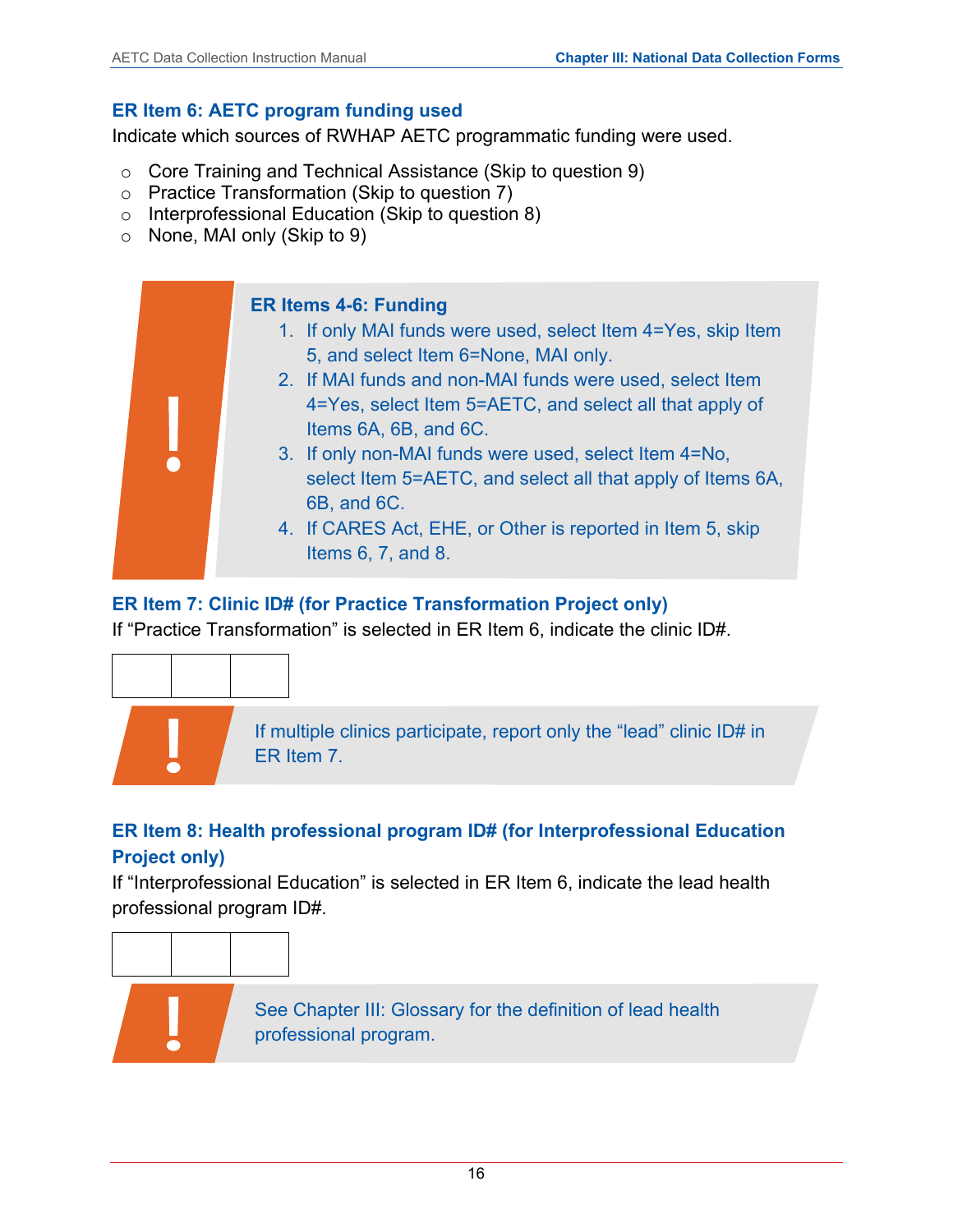## **ER Item 6: AETC program funding used**

Indicate which sources of RWHAP AETC programmatic funding were used.

- o Core Training and Technical Assistance (Skip to question 9)
- o Practice Transformation (Skip to question 7)
- o Interprofessional Education (Skip to question 8)
- o None, MAI only (Skip to 9)



## **ER Item 7: Clinic ID# (for Practice Transformation Project only)**

If "Practice Transformation" is selected in ER Item 6, indicate the clinic ID#.



If multiple clinics participate, report only the "lead" clinic ID# in ER Item 7.

## **ER Item 8: Health professional program ID# (for Interprofessional Education Project only)**

If "Interprofessional Education" is selected in ER Item 6, indicate the lead health professional program ID#.



See Chapter III: Glossary for the definition of lead health professional program.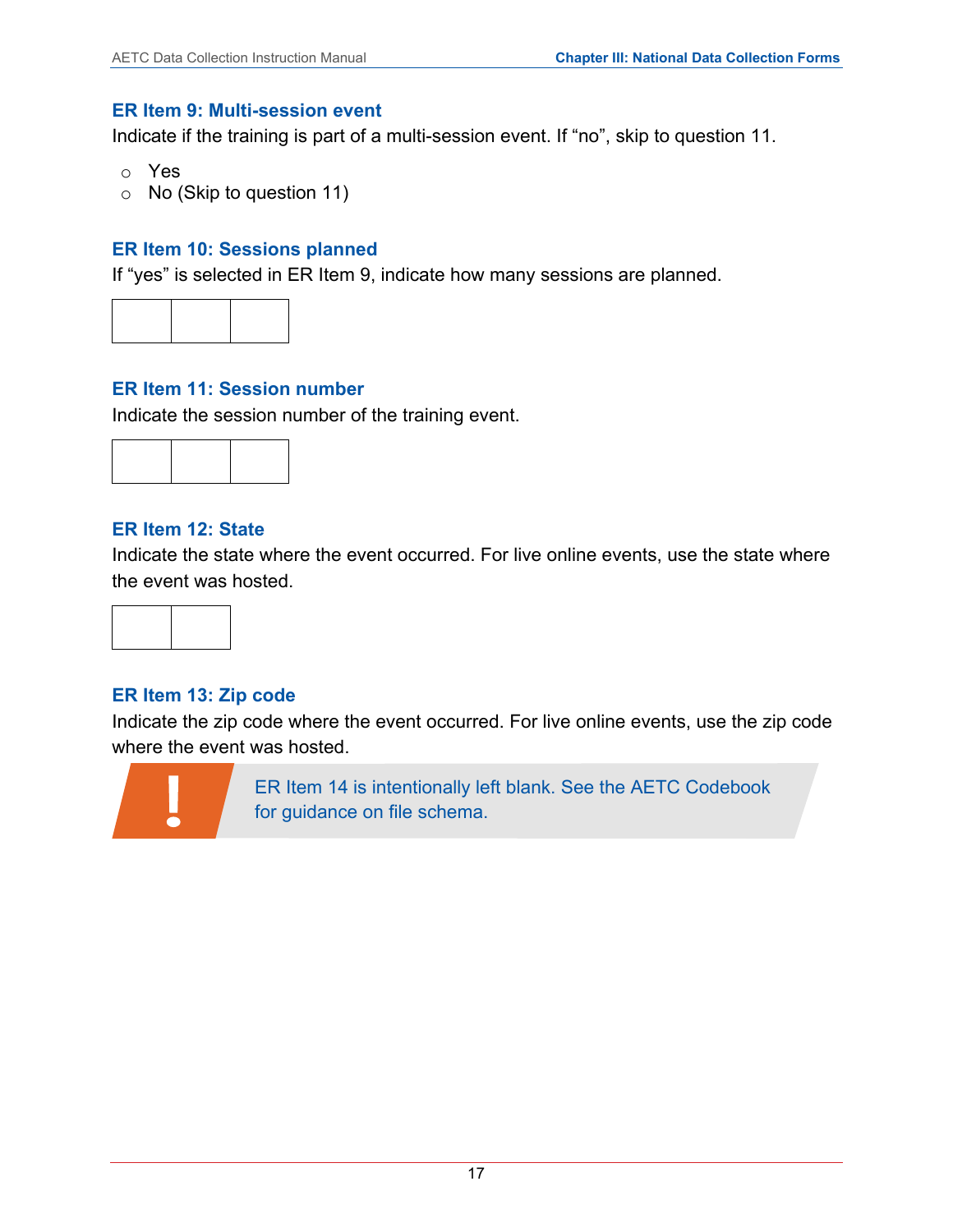#### **ER Item 9: Multi-session event**

Indicate if the training is part of a multi-session event. If "no", skip to question 11.

- o Yes
- o No (Skip to question 11)

#### **ER Item 10: Sessions planned**

If "yes" is selected in ER Item 9, indicate how many sessions are planned.



#### **ER Item 11: Session number**

Indicate the session number of the training event.



#### **ER Item 12: State**

Indicate the state where the event occurred. For live online events, use the state where the event was hosted.



#### **ER Item 13: Zip code**

Indicate the zip code where the event occurred. For live online events, use the zip code where the event was hosted.



ER Item 14 is intentionally left blank. See the AETC Codebook for guidance on file schema.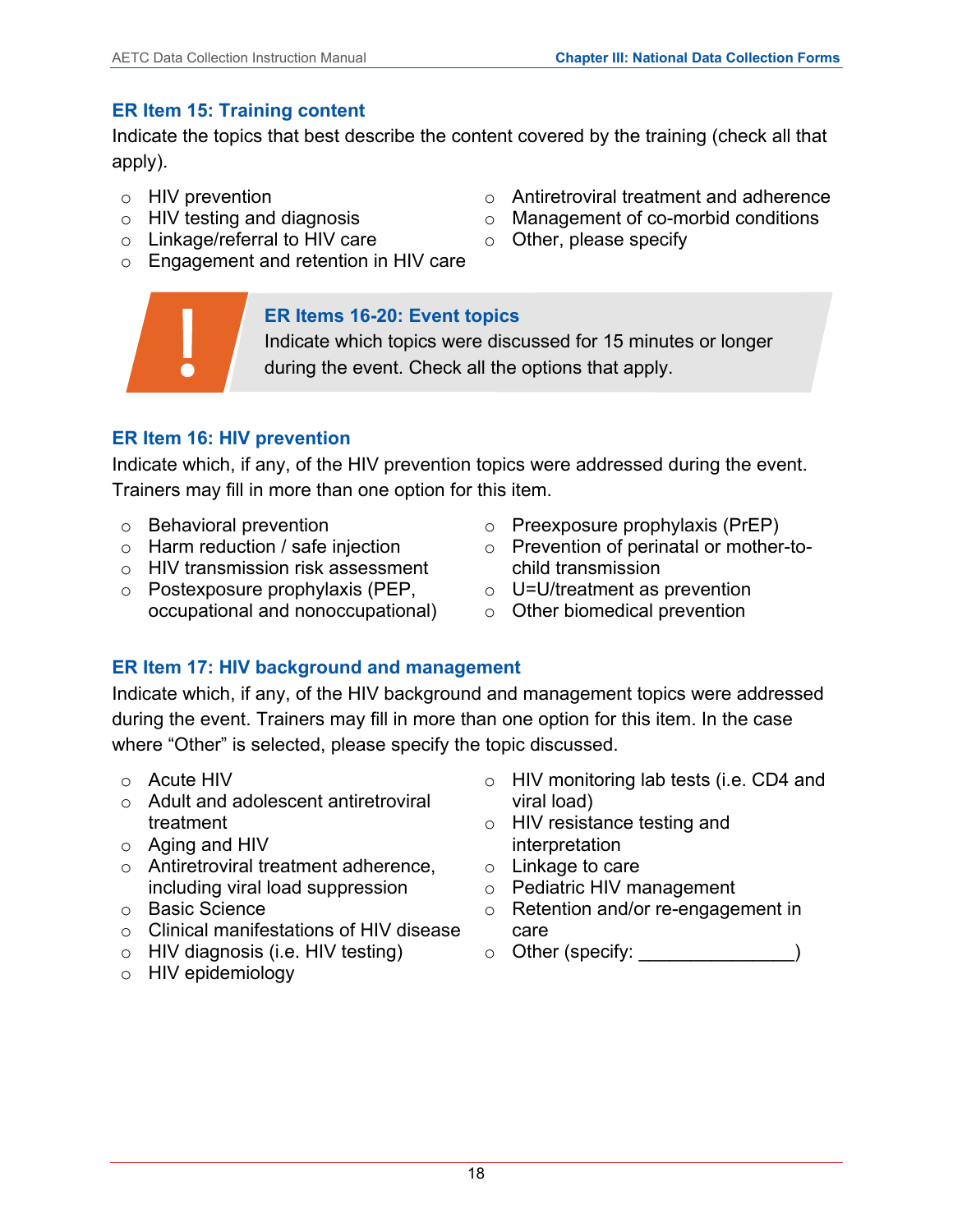## **ER Item 15: Training content**

Indicate the topics that best describe the content covered by the training (check all that apply).

- o HIV prevention
- o HIV testing and diagnosis
- o Linkage/referral to HIV care
- o Engagement and retention in HIV care

## **ER Items 16-20: Event topics**

Indicate which topics were discussed for 15 minutes or longer during the event. Check all the options that apply.

## **ER Item 16: HIV prevention**

Indicate which, if any, of the HIV prevention topics were addressed during the event. Trainers may fill in more than one option for this item.

- o Behavioral prevention
- o Harm reduction / safe injection
- o HIV transmission risk assessment
- o Postexposure prophylaxis (PEP, o U=U/treatment as prevention occupational and nonoccupational)
- o Preexposure prophylaxis (PrEP)
- o Prevention of perinatal or mother-tochild transmission
- - o Other biomedical prevention

## **ER Item 17: HIV background and management**

Indicate which, if any, of the HIV background and management topics were addressed during the event. Trainers may fill in more than one option for this item. In the case where "Other" is selected, please specify the topic discussed.

- o Acute HIV
- o Adult and adolescent antiretroviral treatment
- o Aging and HIV
- o Antiretroviral treatment adherence, including viral load suppression
- o Basic Science
- o Clinical manifestations of HIV disease
- o HIV diagnosis (i.e. HIV testing)
- o HIV epidemiology
- o HIV monitoring lab tests (i.e. CD4 and viral load)
- o HIV resistance testing and interpretation
- o Linkage to care
- o Pediatric HIV management
- o Retention and/or re-engagement in care
- $\circ$  Other (specify:
- o Antiretroviral treatment and adherence
- o Management of co-morbid conditions
- o Other, please specify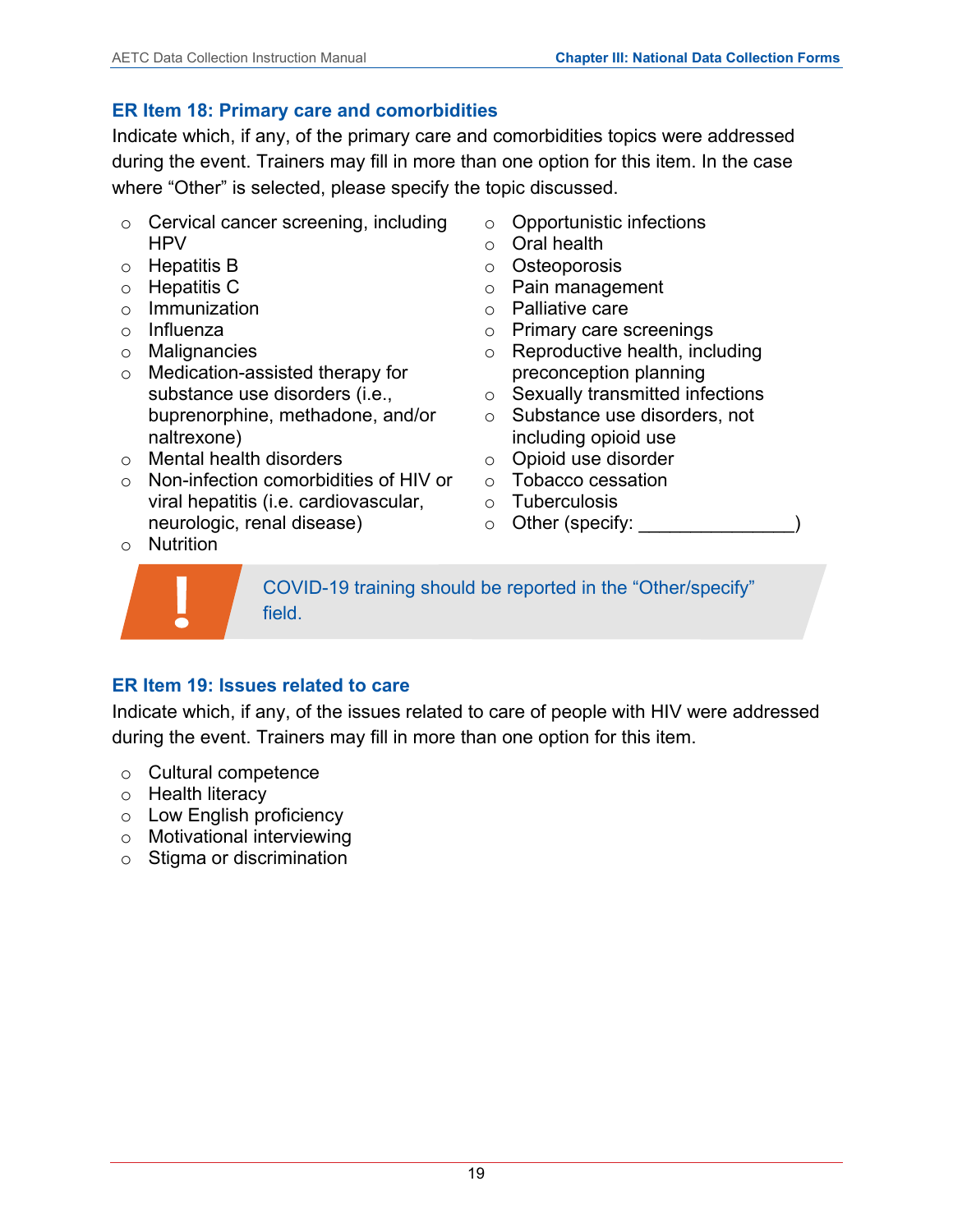## **ER Item 18: Primary care and comorbidities**

Indicate which, if any, of the primary care and comorbidities topics were addressed during the event. Trainers may fill in more than one option for this item. In the case where "Other" is selected, please specify the topic discussed.

- o Cervical cancer screening, including HPV
- o Hepatitis B
- o Hepatitis C
- o Immunization
- o Influenza
- o Malignancies
- o Medication-assisted therapy for substance use disorders (i.e., buprenorphine, methadone, and/or naltrexone)
- o Mental health disorders
- o Non-infection comorbidities of HIV or viral hepatitis (i.e. cardiovascular, neurologic, renal disease)
- o Nutrition



o Opportunistic infections

- o Oral health
- o Osteoporosis
- o Pain management
- o Palliative care
- o Primary care screenings
- o Reproductive health, including preconception planning
- o Sexually transmitted infections
- o Substance use disorders, not including opioid use
- o Opioid use disorder
- o Tobacco cessation
- o Tuberculosis
- $\circ$  Other (specify:

COVID-19 training should be reported in the "Other/specify" field.

## **ER Item 19: Issues related to care**

Indicate which, if any, of the issues related to care of people with HIV were addressed during the event. Trainers may fill in more than one option for this item.

- o Cultural competence
- o Health literacy
- o Low English proficiency
- o Motivational interviewing
- o Stigma or discrimination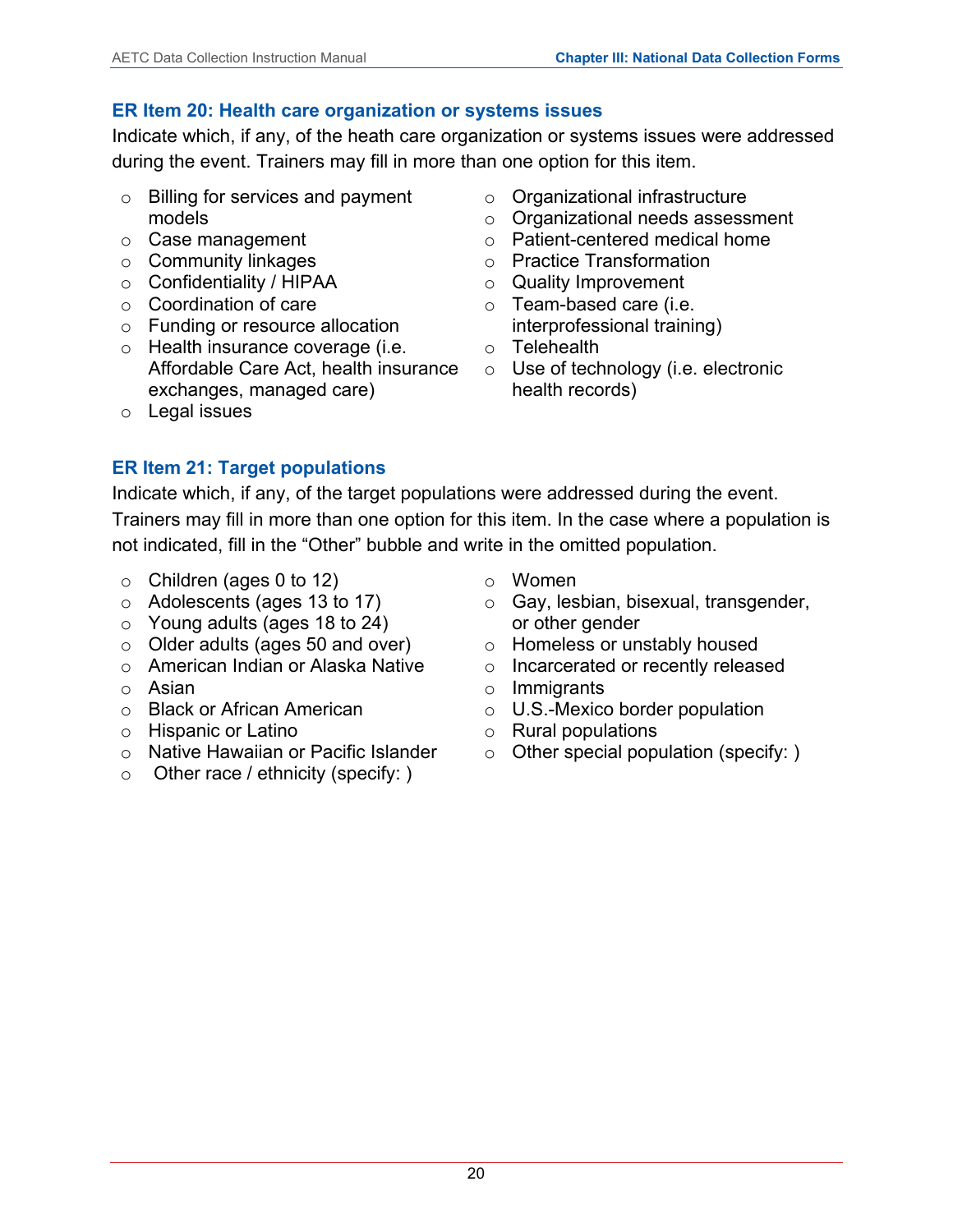#### **ER Item 20: Health care organization or systems issues**

Indicate which, if any, of the heath care organization or systems issues were addressed during the event. Trainers may fill in more than one option for this item.

- o Billing for services and payment models
- o Case management
- o Community linkages
- o Confidentiality / HIPAA
- o Coordination of care
- o Funding or resource allocation
- o Health insurance coverage (i.e. Affordable Care Act, health insurance ○ Use of technology (i.e. electronic exchanges, managed care)
- o Legal issues
- o Organizational infrastructure
- o Organizational needs assessment
- o Patient-centered medical home
- o Practice Transformation
- o Quality Improvement
- o Team-based care (i.e. interprofessional training)
- o Telehealth
- health records)

Indicate which, if any, of the target populations were addressed during the event. Trainers may fill in more than one option for this item. In the case where a population is not indicated, fill in the "Other" bubble and write in the omitted population.

- $\circ$  Children (ages 0 to 12)
- o Adolescents (ages 13 to 17)

**ER Item 21: Target populations**

- o Young adults (ages 18 to 24)
- o Older adults (ages 50 and over)
- o American Indian or Alaska Native
- o Asian
- o Black or African American
- o Hispanic or Latino
- o Native Hawaiian or Pacific Islander
- $\circ$  Other race / ethnicity (specify: )
- o Women
- o Gay, lesbian, bisexual, transgender, or other gender
- o Homeless or unstably housed
- o Incarcerated or recently released
- o Immigrants
- o U.S.-Mexico border population
- o Rural populations
- o Other special population (specify: )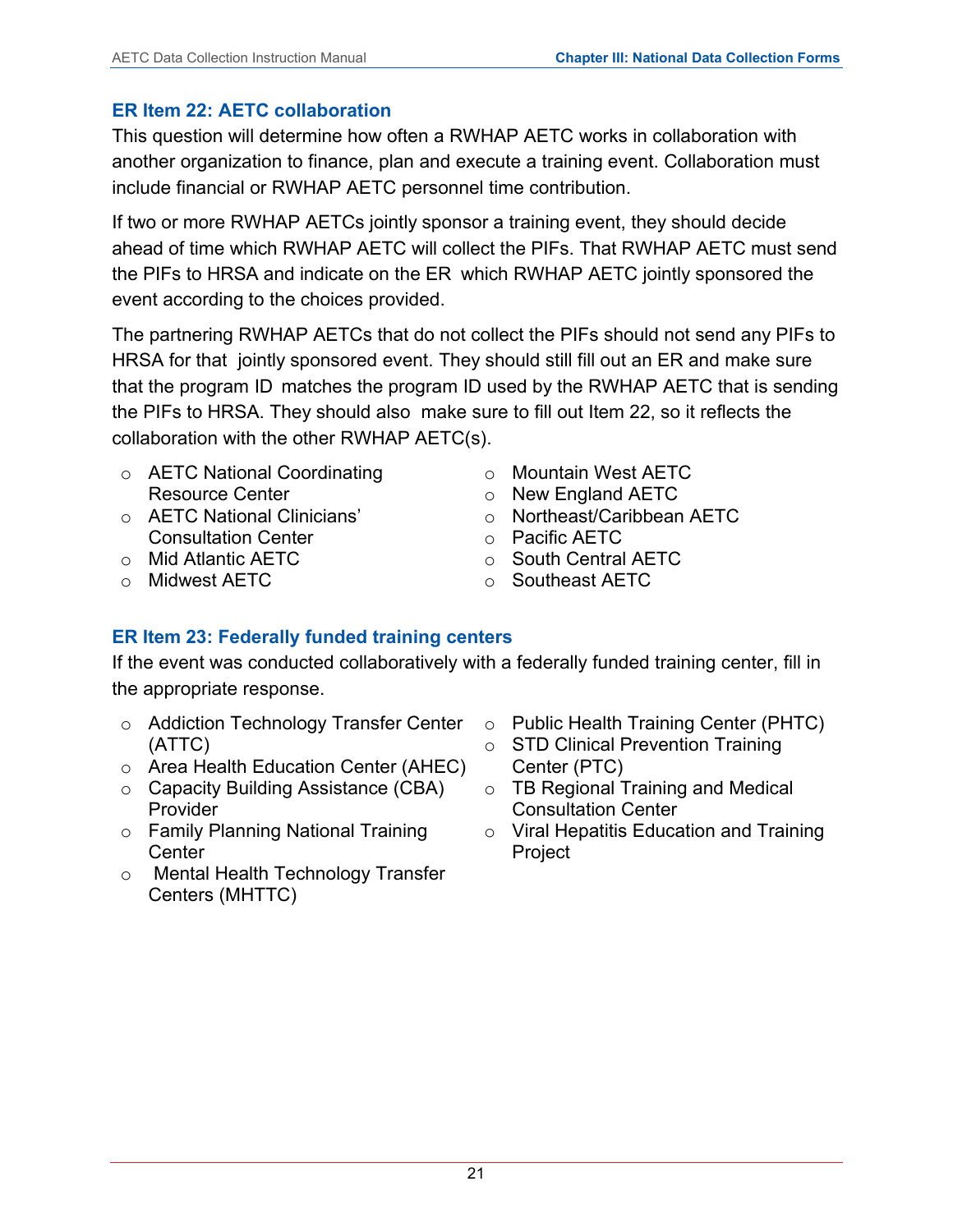## **ER Item 22: AETC collaboration**

This question will determine how often a RWHAP AETC works in collaboration with another organization to finance, plan and execute a training event. Collaboration must include financial or RWHAP AETC personnel time contribution.

If two or more RWHAP AETCs jointly sponsor a training event, they should decide ahead of time which RWHAP AETC will collect the PIFs. That RWHAP AETC must send the PIFs to HRSA and indicate on the ER which RWHAP AETC jointly sponsored the event according to the choices provided.

The partnering RWHAP AETCs that do not collect the PIFs should not send any PIFs to HRSA for that jointly sponsored event. They should still fill out an ER and make sure that the program ID matches the program ID used by the RWHAP AETC that is sending the PIFs to HRSA. They should also make sure to fill out Item 22, so it reflects the collaboration with the other RWHAP AETC(s).

- o AETC National Coordinating Resource Center
- o AETC National Clinicians' Consultation Center
- o Mid Atlantic AETC
- o Midwest AETC
- o Mountain West AETC
- o New England AETC
- o Northeast/Caribbean AETC
- o Pacific AETC
- o South Central AETC
- o Southeast AETC

## **ER Item 23: Federally funded training centers**

If the event was conducted collaboratively with a federally funded training center, fill in the appropriate response.

- $\circ$  Addiction Technology Transfer Center  $\;\;\circ\;$  Public Health Training Center (PHTC) (ATTC)
- o Area Health Education Center (AHEC)
- o Capacity Building Assistance (CBA) **Provider**
- o Family Planning National Training Center
- o Mental Health Technology Transfer Centers (MHTTC)
- 
- o STD Clinical Prevention Training Center (PTC)
- o TB Regional Training and Medical Consultation Center
- o Viral Hepatitis Education and Training Project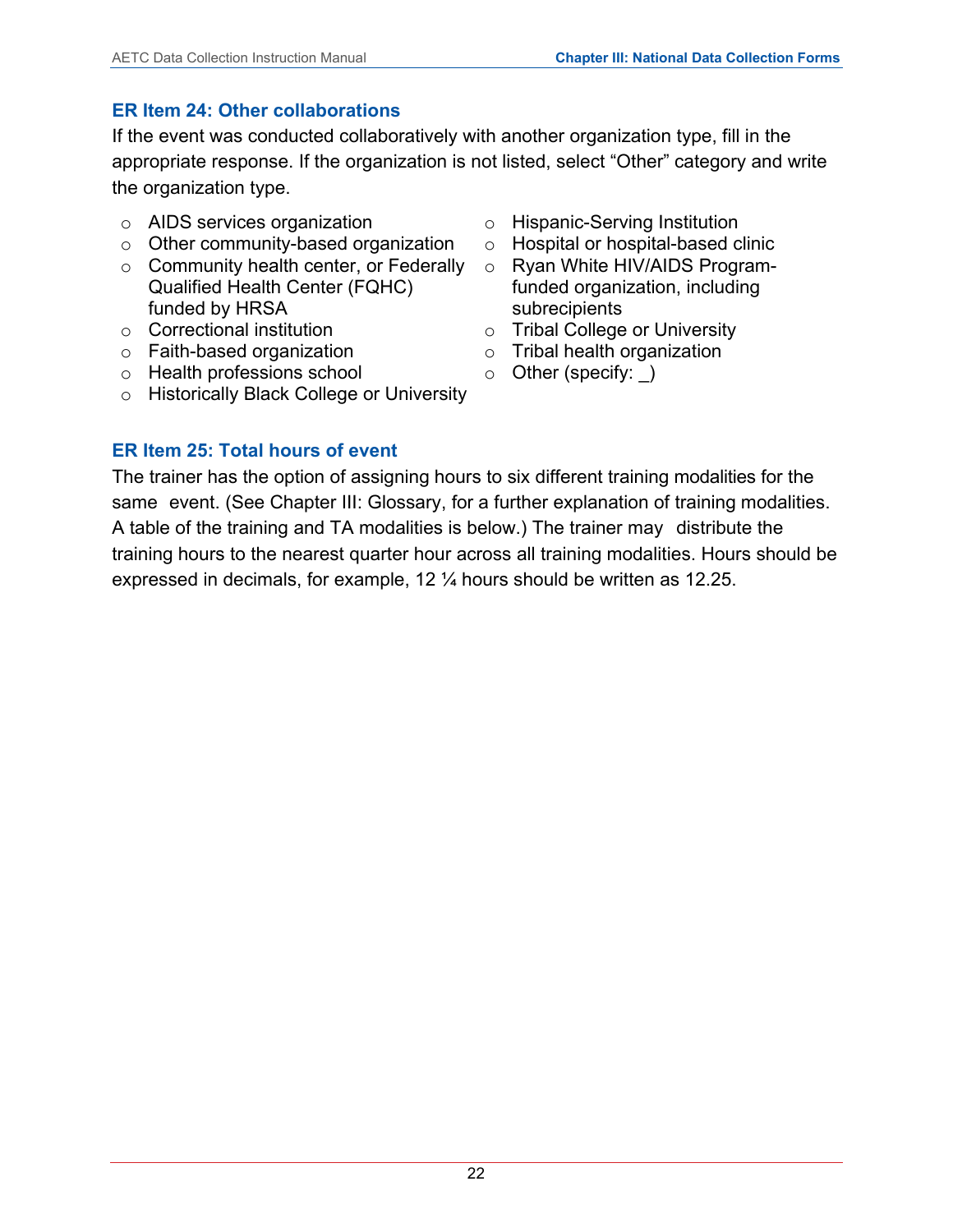## **ER Item 24: Other collaborations**

If the event was conducted collaboratively with another organization type, fill in the appropriate response. If the organization is not listed, select "Other" category and write the organization type.

- o AIDS services organization
- o Other community-based organization
- o Community health center, or Federally Qualified Health Center (FQHC) funded by HRSA
- o Correctional institution
- o Faith-based organization
- o Health professions school
- o Historically Black College or University
- o Hispanic-Serving Institution
- o Hospital or hospital-based clinic
- o Ryan White HIV/AIDS Programfunded organization, including subrecipients
- o Tribal College or University
- o Tribal health organization
- o Other (specify: \_)

## **ER Item 25: Total hours of event**

The trainer has the option of assigning hours to six different training modalities for the same event. (See Chapter III: Glossary, for a further explanation of training modalities. A table of the training and TA modalities is below.) The trainer may distribute the training hours to the nearest quarter hour across all training modalities. Hours should be expressed in decimals, for example, 12 ¼ hours should be written as 12.25.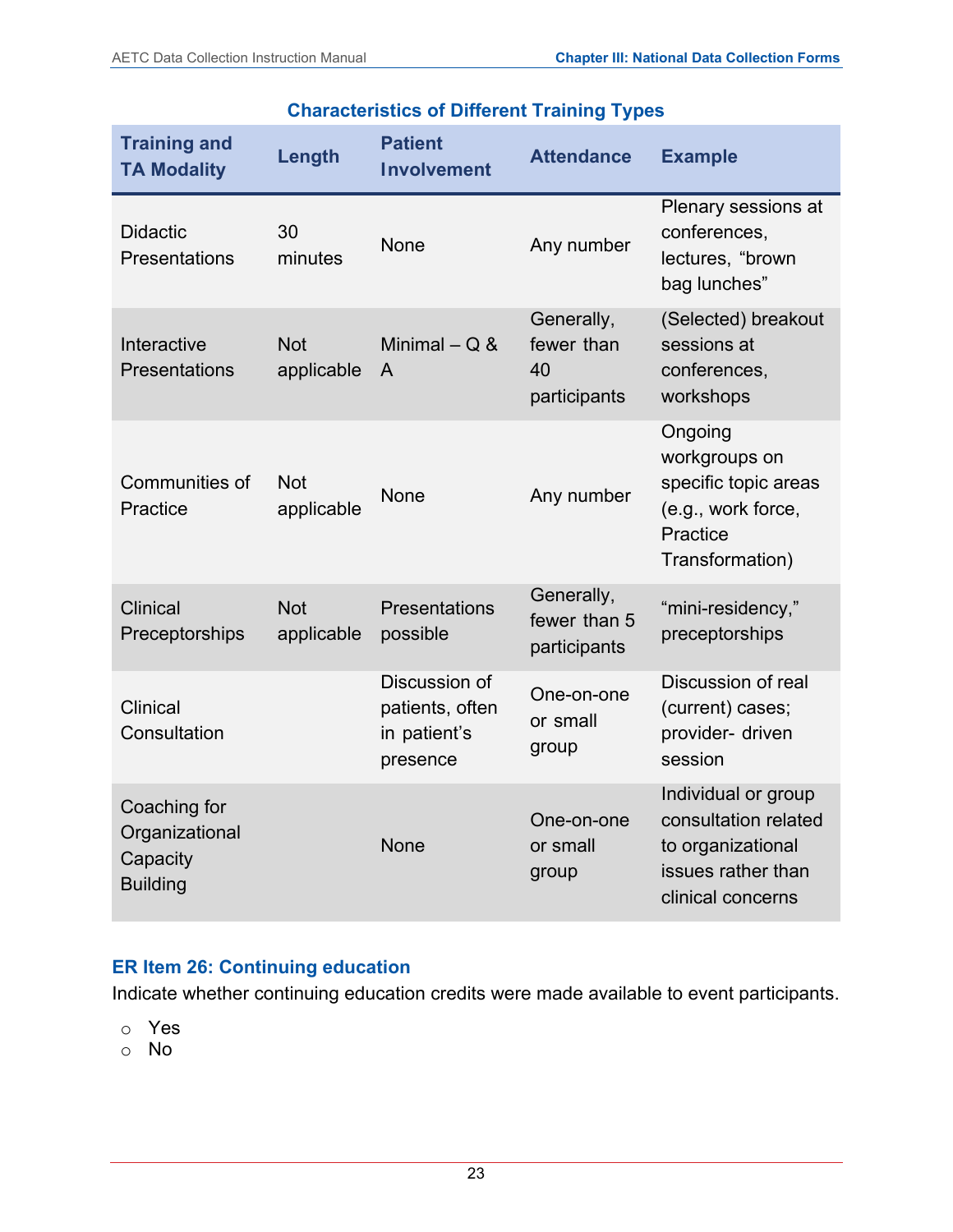| <b>Training and</b><br><b>TA Modality</b>                       | Length                   | <b>Patient</b><br><b>Involvement</b>                                   | <b>Attendance</b>                          | <b>Example</b>                                                                                              |
|-----------------------------------------------------------------|--------------------------|------------------------------------------------------------------------|--------------------------------------------|-------------------------------------------------------------------------------------------------------------|
| <b>Didactic</b><br><b>Presentations</b>                         | 30<br>minutes            | <b>None</b>                                                            | Any number                                 | Plenary sessions at<br>conferences,<br>lectures, "brown<br>bag lunches"                                     |
| <b>Not</b><br>Interactive<br><b>Presentations</b><br>applicable |                          | Generally,<br>fewer than<br>Minimal $-$ Q &<br>40<br>A<br>participants |                                            | (Selected) breakout<br>sessions at<br>conferences,<br>workshops                                             |
| Communities of<br>Practice                                      | <b>Not</b><br>applicable | None                                                                   | Any number                                 | Ongoing<br>workgroups on<br>specific topic areas<br>(e.g., work force,<br>Practice<br>Transformation)       |
| <b>Clinical</b><br>Preceptorships                               | <b>Not</b><br>applicable | Presentations<br>possible                                              | Generally,<br>fewer than 5<br>participants | "mini-residency,"<br>preceptorships                                                                         |
| <b>Clinical</b><br>Consultation                                 |                          | Discussion of<br>patients, often<br>in patient's<br>presence           | One-on-one<br>or small<br>group            | Discussion of real<br>(current) cases;<br>provider- driven<br>session                                       |
| Coaching for<br>Organizational<br>Capacity<br><b>Building</b>   |                          | <b>None</b>                                                            | One-on-one<br>or small<br>group            | Individual or group<br>consultation related<br>to organizational<br>issues rather than<br>clinical concerns |

## **Characteristics of Different Training Types**

## **ER Item 26: Continuing education**

Indicate whether continuing education credits were made available to event participants.

- o Yes
- o No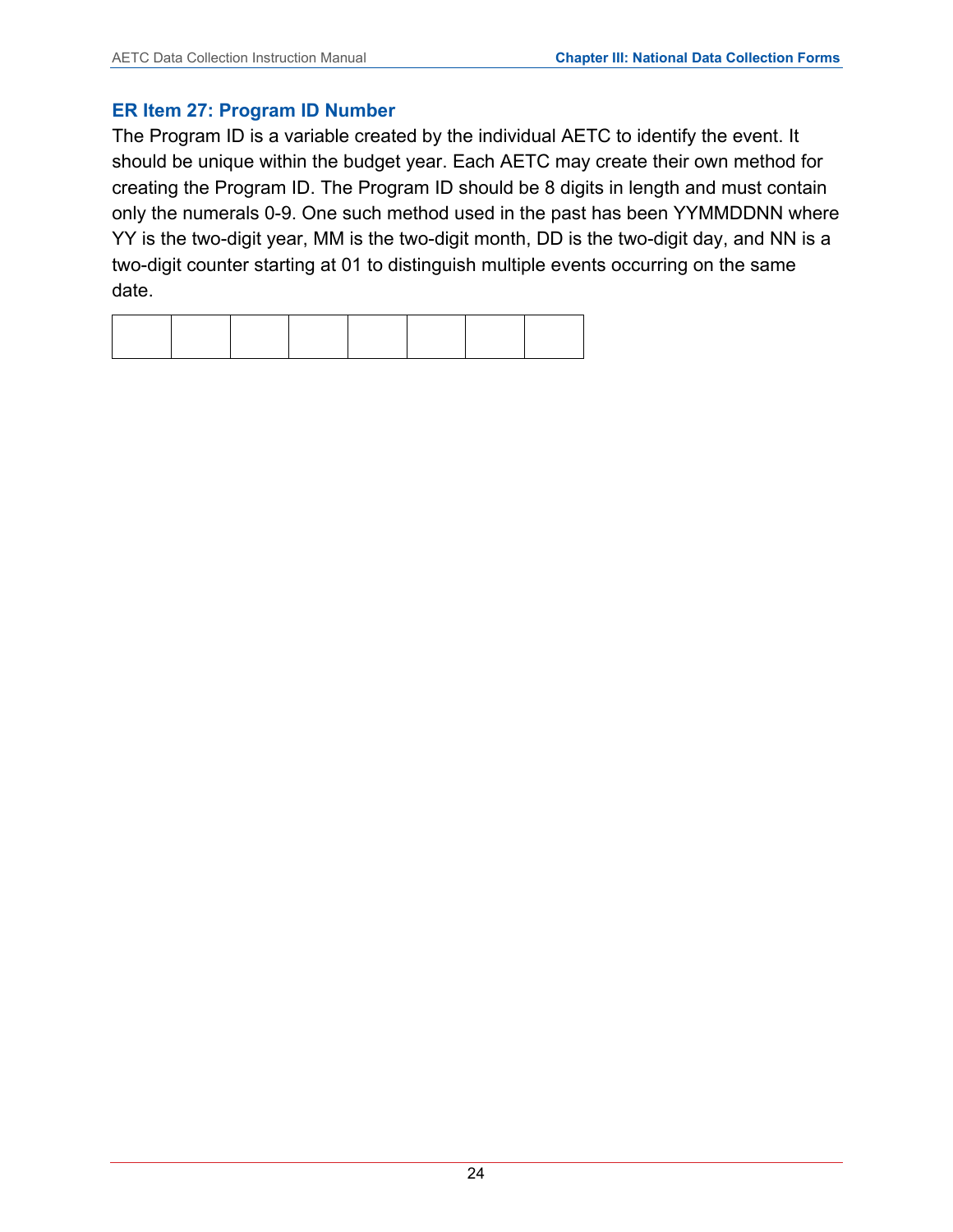#### **ER Item 27: Program ID Number**

The Program ID is a variable created by the individual AETC to identify the event. It should be unique within the budget year. Each AETC may create their own method for creating the Program ID. The Program ID should be 8 digits in length and must contain only the numerals 0-9. One such method used in the past has been YYMMDDNN where YY is the two-digit year, MM is the two-digit month, DD is the two-digit day, and NN is a two-digit counter starting at 01 to distinguish multiple events occurring on the same date.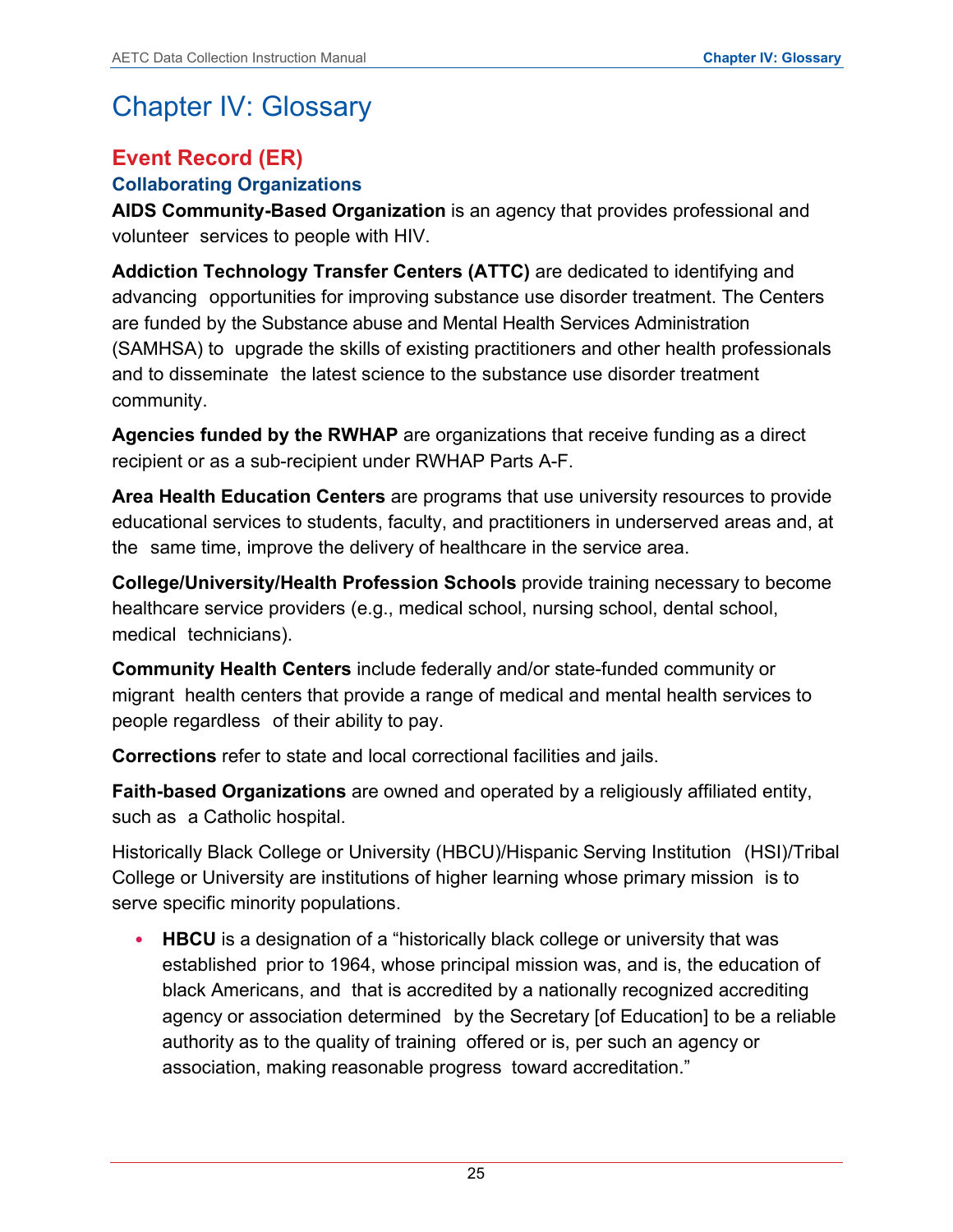# <span id="page-27-0"></span>Chapter IV: Glossary

## <span id="page-27-1"></span>**Event Record (ER)**

## **Collaborating Organizations**

**AIDS Community-Based Organization** is an agency that provides professional and volunteer services to people with HIV.

**Addiction Technology Transfer Centers (ATTC)** are dedicated to identifying and advancing opportunities for improving substance use disorder treatment. The Centers are funded by the Substance abuse and Mental Health Services Administration (SAMHSA) to upgrade the skills of existing practitioners and other health professionals and to disseminate the latest science to the substance use disorder treatment community.

**Agencies funded by the RWHAP** are organizations that receive funding as a direct recipient or as a sub-recipient under RWHAP Parts A-F.

**Area Health Education Centers** are programs that use university resources to provide educational services to students, faculty, and practitioners in underserved areas and, at the same time, improve the delivery of healthcare in the service area.

**College/University/Health Profession Schools** provide training necessary to become healthcare service providers (e.g., medical school, nursing school, dental school, medical technicians).

**Community Health Centers** include federally and/or state-funded community or migrant health centers that provide a range of medical and mental health services to people regardless of their ability to pay.

**Corrections** refer to state and local correctional facilities and jails.

**Faith-based Organizations** are owned and operated by a religiously affiliated entity, such as a Catholic hospital.

Historically Black College or University (HBCU)/Hispanic Serving Institution (HSI)/Tribal College or University are institutions of higher learning whose primary mission is to serve specific minority populations.

• **HBCU** is a designation of a "historically black college or university that was established prior to 1964, whose principal mission was, and is, the education of black Americans, and that is accredited by a nationally recognized accrediting agency or association determined by the Secretary [of Education] to be a reliable authority as to the quality of training offered or is, per such an agency or association, making reasonable progress toward accreditation."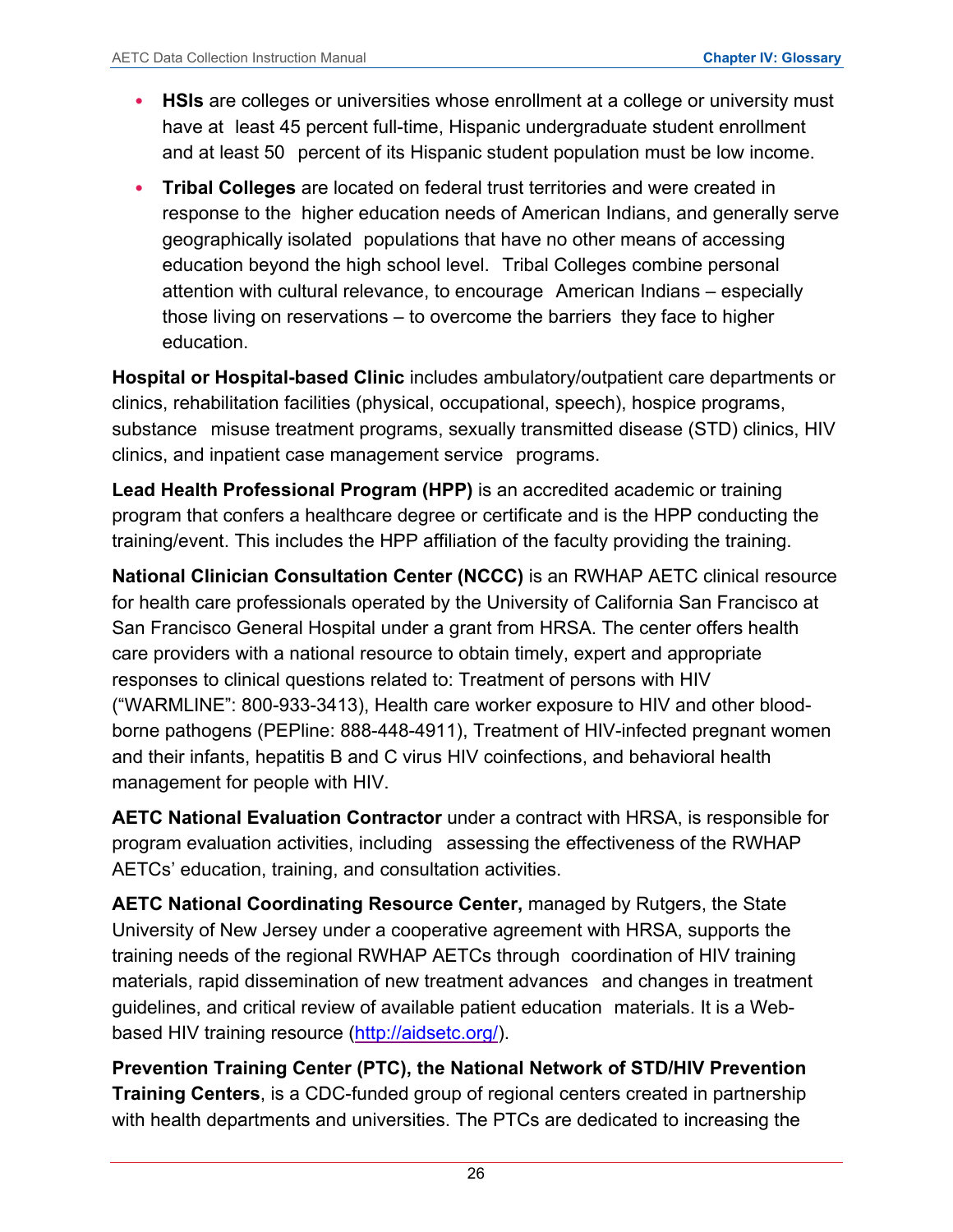- **HSIs** are colleges or universities whose enrollment at a college or university must have at least 45 percent full-time, Hispanic undergraduate student enrollment and at least 50 percent of its Hispanic student population must be low income.
- **Tribal Colleges** are located on federal trust territories and were created in response to the higher education needs of American Indians, and generally serve geographically isolated populations that have no other means of accessing education beyond the high school level. Tribal Colleges combine personal attention with cultural relevance, to encourage American Indians – especially those living on reservations – to overcome the barriers they face to higher education.

**Hospital or Hospital-based Clinic** includes ambulatory/outpatient care departments or clinics, rehabilitation facilities (physical, occupational, speech), hospice programs, substance misuse treatment programs, sexually transmitted disease (STD) clinics, HIV clinics, and inpatient case management service programs.

**Lead Health Professional Program (HPP)** is an accredited academic or training program that confers a healthcare degree or certificate and is the HPP conducting the training/event. This includes the HPP affiliation of the faculty providing the training.

**National Clinician Consultation Center (NCCC)** is an RWHAP AETC clinical resource for health care professionals operated by the University of California San Francisco at San Francisco General Hospital under a grant from HRSA. The center offers health care providers with a national resource to obtain timely, expert and appropriate responses to clinical questions related to: Treatment of persons with HIV ("WARMLINE": 800-933-3413), Health care worker exposure to HIV and other bloodborne pathogens (PEPline: 888-448-4911), Treatment of HIV-infected pregnant women and their infants, hepatitis B and C virus HIV coinfections, and behavioral health management for people with HIV.

**AETC National Evaluation Contractor** under a contract with HRSA, is responsible for program evaluation activities, including assessing the effectiveness of the RWHAP AETCs' education, training, and consultation activities.

**AETC National Coordinating Resource Center,** managed by Rutgers, the State University of New Jersey under a cooperative agreement with HRSA, supports the training needs of the regional RWHAP AETCs through coordination of HIV training materials, rapid dissemination of new treatment advances and changes in treatment guidelines, and critical review of available patient education materials. It is a Web-based HIV training resource [\(http://aidsetc.org/\)](http://aidsetc.org/).

**Prevention Training Center (PTC), the National Network of STD/HIV Prevention Training Centers**, is a CDC-funded group of regional centers created in partnership with health departments and universities. The PTCs are dedicated to increasing the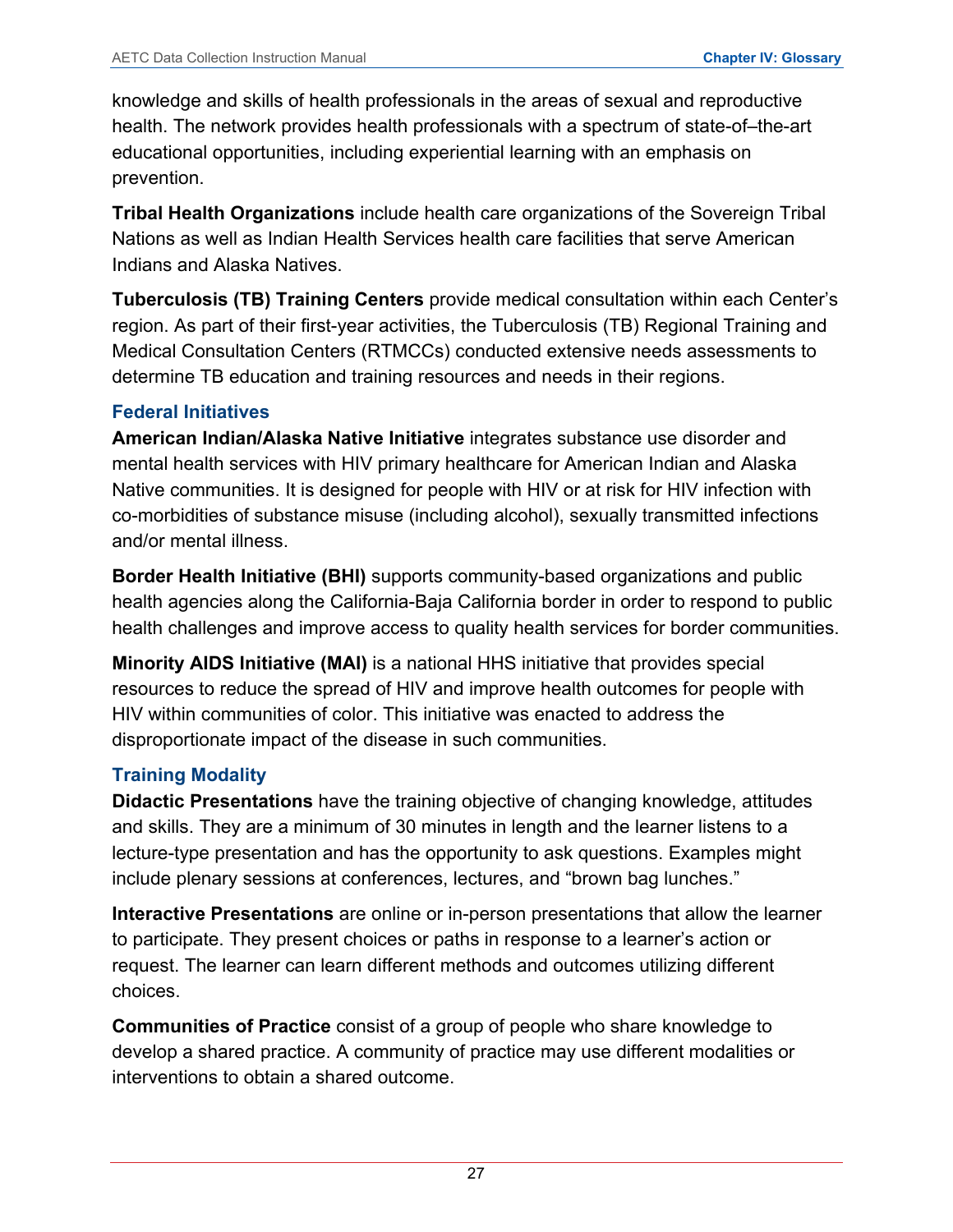knowledge and skills of health professionals in the areas of sexual and reproductive health. The network provides health professionals with a spectrum of state-of–the-art educational opportunities, including experiential learning with an emphasis on prevention.

**Tribal Health Organizations** include health care organizations of the Sovereign Tribal Nations as well as Indian Health Services health care facilities that serve American Indians and Alaska Natives.

**Tuberculosis (TB) Training Centers** provide medical consultation within each Center's region. As part of their first-year activities, the Tuberculosis (TB) Regional Training and Medical Consultation Centers (RTMCCs) conducted extensive needs assessments to determine TB education and training resources and needs in their regions.

#### **Federal Initiatives**

**American Indian/Alaska Native Initiative** integrates substance use disorder and mental health services with HIV primary healthcare for American Indian and Alaska Native communities. It is designed for people with HIV or at risk for HIV infection with co-morbidities of substance misuse (including alcohol), sexually transmitted infections and/or mental illness.

**Border Health Initiative (BHI)** supports community-based organizations and public health agencies along the California-Baja California border in order to respond to public health challenges and improve access to quality health services for border communities.

**Minority AIDS Initiative (MAI)** is a national HHS initiative that provides special resources to reduce the spread of HIV and improve health outcomes for people with HIV within communities of color. This initiative was enacted to address the disproportionate impact of the disease in such communities.

## **Training Modality**

**Didactic Presentations** have the training objective of changing knowledge, attitudes and skills. They are a minimum of 30 minutes in length and the learner listens to a lecture-type presentation and has the opportunity to ask questions. Examples might include plenary sessions at conferences, lectures, and "brown bag lunches."

**Interactive Presentations** are online or in-person presentations that allow the learner to participate. They present choices or paths in response to a learner's action or request. The learner can learn different methods and outcomes utilizing different choices.

**Communities of Practice** consist of a group of people who share knowledge to develop a shared practice. A community of practice may use different modalities or interventions to obtain a shared outcome.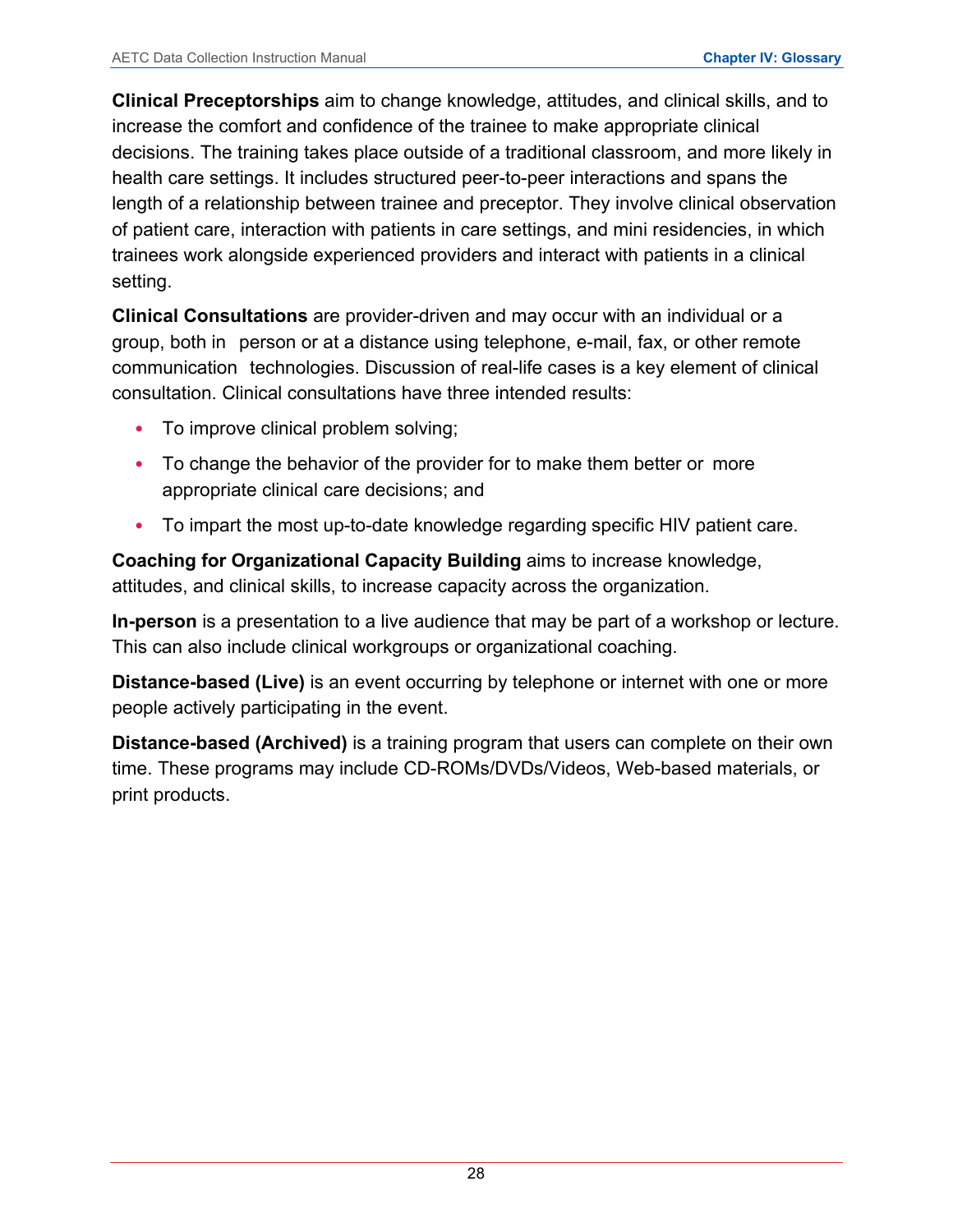**Clinical Preceptorships** aim to change knowledge, attitudes, and clinical skills, and to increase the comfort and confidence of the trainee to make appropriate clinical decisions. The training takes place outside of a traditional classroom, and more likely in health care settings. It includes structured peer-to-peer interactions and spans the length of a relationship between trainee and preceptor. They involve clinical observation of patient care, interaction with patients in care settings, and mini residencies, in which trainees work alongside experienced providers and interact with patients in a clinical setting.

**Clinical Consultations** are provider-driven and may occur with an individual or a group, both in person or at a distance using telephone, e-mail, fax, or other remote communication technologies. Discussion of real-life cases is a key element of clinical consultation. Clinical consultations have three intended results:

- To improve clinical problem solving;
- To change the behavior of the provider for to make them better or more appropriate clinical care decisions; and
- To impart the most up-to-date knowledge regarding specific HIV patient care.

**Coaching for Organizational Capacity Building** aims to increase knowledge, attitudes, and clinical skills, to increase capacity across the organization.

**In-person** is a presentation to a live audience that may be part of a workshop or lecture. This can also include clinical workgroups or organizational coaching.

**Distance-based (Live)** is an event occurring by telephone or internet with one or more people actively participating in the event.

**Distance-based (Archived)** is a training program that users can complete on their own time. These programs may include CD-ROMs/DVDs/Videos, Web-based materials, or print products.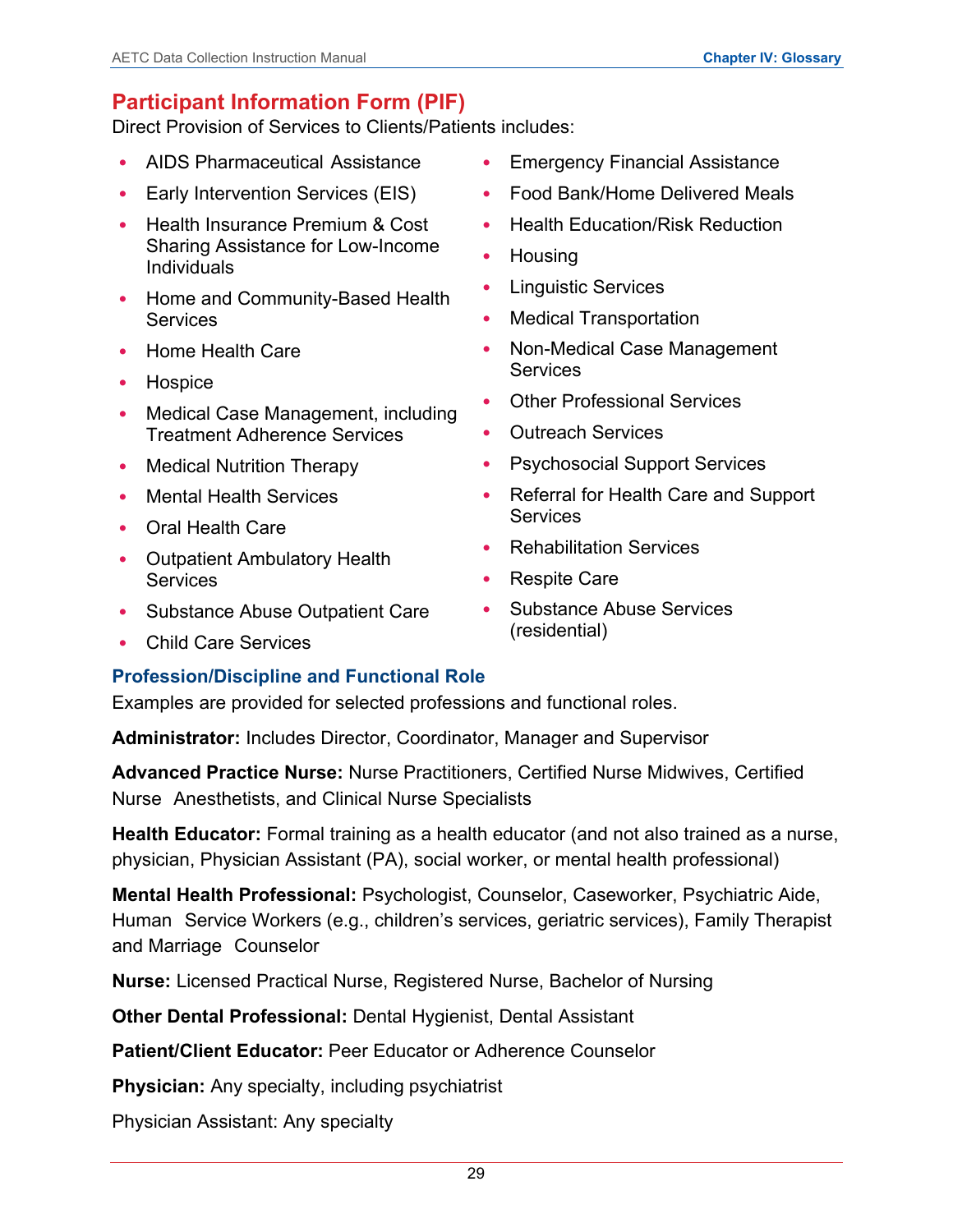## <span id="page-31-0"></span>**Participant Information Form (PIF)**

Direct Provision of Services to Clients/Patients includes:

- AIDS Pharmaceutical Assistance
- Early Intervention Services (EIS)
- Health Insurance Premium & Cost Sharing Assistance for Low-Income Individuals
- Home and Community-Based Health **Services**
- Home Health Care
- Hospice
- Medical Case Management, including Treatment Adherence Services
- Medical Nutrition Therapy
- Mental Health Services
- Oral Health Care
- Outpatient Ambulatory Health **Services**
- Substance Abuse Outpatient Care
- Child Care Services
- Emergency Financial Assistance
- Food Bank/Home Delivered Meals
- Health Education/Risk Reduction
- Housing
- **Linguistic Services**
- Medical Transportation
- Non-Medical Case Management **Services**
- Other Professional Services
- Outreach Services
- Psychosocial Support Services
- Referral for Health Care and Support **Services**
- Rehabilitation Services
- Respite Care
- Substance Abuse Services (residential)

## **Profession/Discipline and Functional Role**

Examples are provided for selected professions and functional roles.

**Administrator:** Includes Director, Coordinator, Manager and Supervisor

**Advanced Practice Nurse:** Nurse Practitioners, Certified Nurse Midwives, Certified Nurse Anesthetists, and Clinical Nurse Specialists

**Health Educator:** Formal training as a health educator (and not also trained as a nurse, physician, Physician Assistant (PA), social worker, or mental health professional)

**Mental Health Professional:** Psychologist, Counselor, Caseworker, Psychiatric Aide, Human Service Workers (e.g., children's services, geriatric services), Family Therapist and Marriage Counselor

**Nurse:** Licensed Practical Nurse, Registered Nurse, Bachelor of Nursing

**Other Dental Professional:** Dental Hygienist, Dental Assistant

**Patient/Client Educator:** Peer Educator or Adherence Counselor

**Physician:** Any specialty, including psychiatrist

Physician Assistant: Any specialty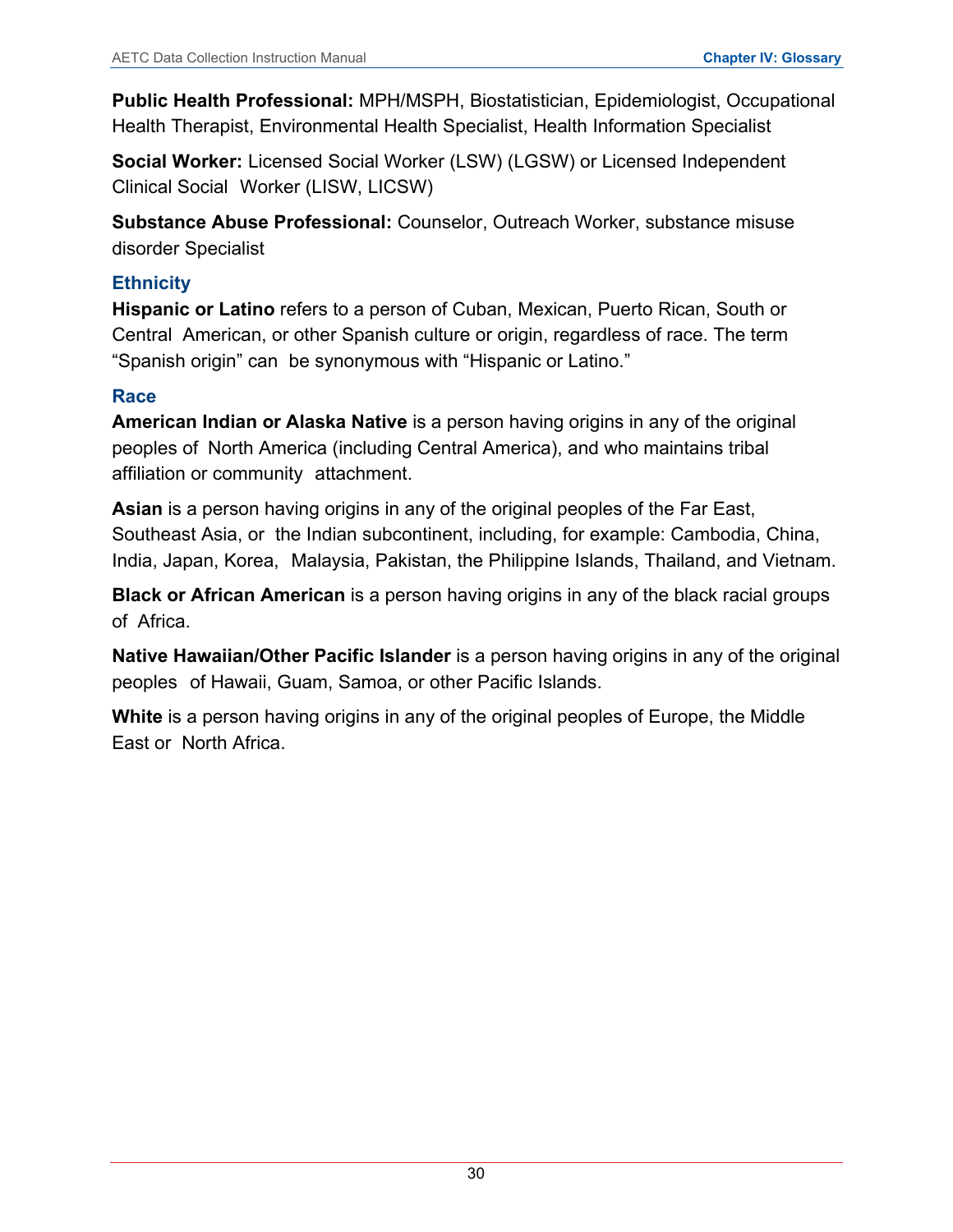**Public Health Professional:** MPH/MSPH, Biostatistician, Epidemiologist, Occupational Health Therapist, Environmental Health Specialist, Health Information Specialist

**Social Worker:** Licensed Social Worker (LSW) (LGSW) or Licensed Independent Clinical Social Worker (LISW, LICSW)

**Substance Abuse Professional:** Counselor, Outreach Worker, substance misuse disorder Specialist

#### **Ethnicity**

**Hispanic or Latino** refers to a person of Cuban, Mexican, Puerto Rican, South or Central American, or other Spanish culture or origin, regardless of race. The term "Spanish origin" can be synonymous with "Hispanic or Latino."

## **Race**

**American Indian or Alaska Native** is a person having origins in any of the original peoples of North America (including Central America), and who maintains tribal affiliation or community attachment.

**Asian** is a person having origins in any of the original peoples of the Far East, Southeast Asia, or the Indian subcontinent, including, for example: Cambodia, China, India, Japan, Korea, Malaysia, Pakistan, the Philippine Islands, Thailand, and Vietnam.

**Black or African American** is a person having origins in any of the black racial groups of Africa.

**Native Hawaiian/Other Pacific Islander** is a person having origins in any of the original peoples of Hawaii, Guam, Samoa, or other Pacific Islands.

**White** is a person having origins in any of the original peoples of Europe, the Middle East or North Africa.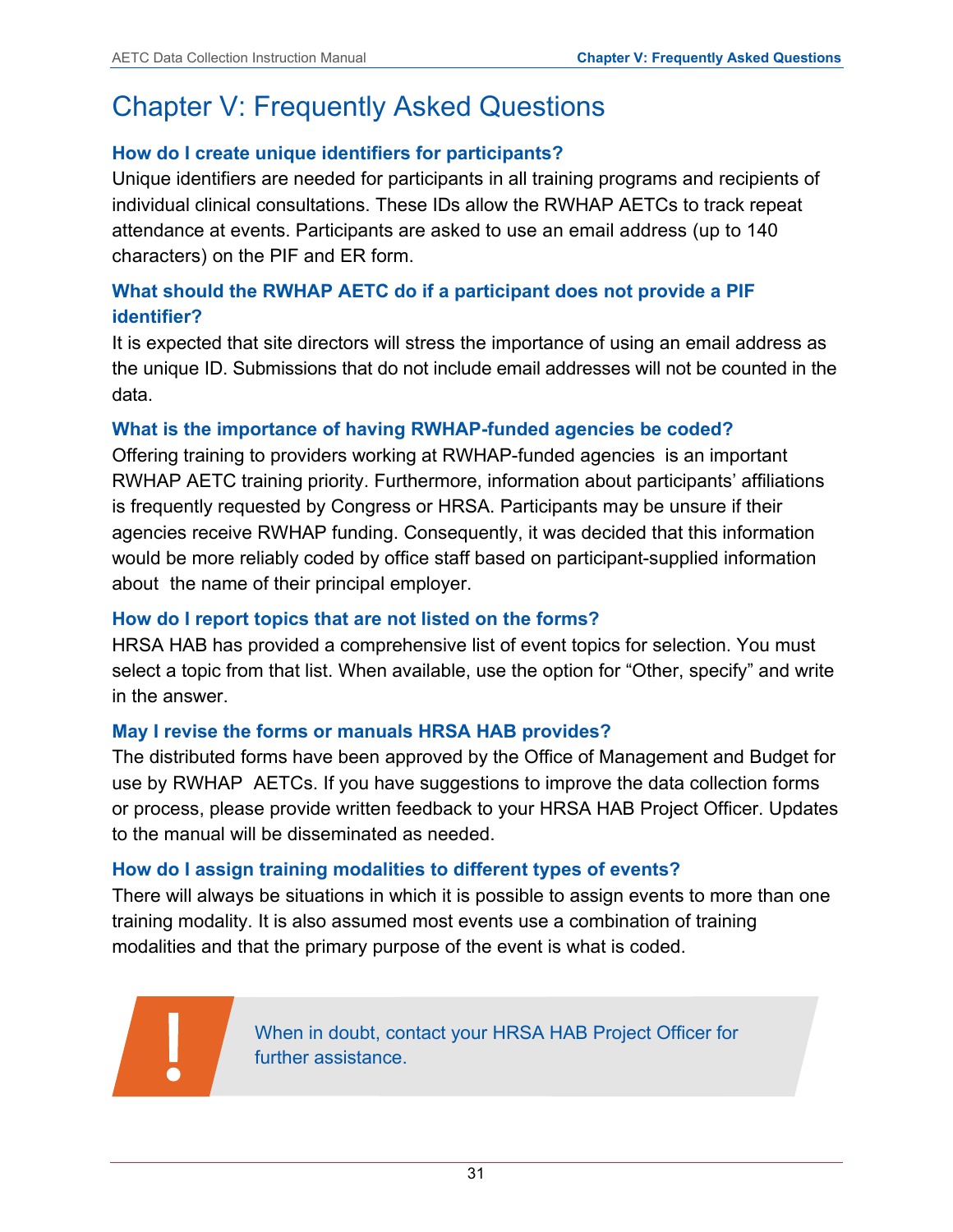# <span id="page-33-0"></span>Chapter V: Frequently Asked Questions

## **How do I create unique identifiers for participants?**

Unique identifiers are needed for participants in all training programs and recipients of individual clinical consultations. These IDs allow the RWHAP AETCs to track repeat attendance at events. Participants are asked to use an email address (up to 140 characters) on the PIF and ER form.

## **What should the RWHAP AETC do if a participant does not provide a PIF identifier?**

It is expected that site directors will stress the importance of using an email address as the unique ID. Submissions that do not include email addresses will not be counted in the data.

## **What is the importance of having RWHAP-funded agencies be coded?**

Offering training to providers working at RWHAP-funded agencies is an important RWHAP AETC training priority. Furthermore, information about participants' affiliations is frequently requested by Congress or HRSA. Participants may be unsure if their agencies receive RWHAP funding. Consequently, it was decided that this information would be more reliably coded by office staff based on participant-supplied information about the name of their principal employer.

#### **How do I report topics that are not listed on the forms?**

HRSA HAB has provided a comprehensive list of event topics for selection. You must select a topic from that list. When available, use the option for "Other, specify" and write in the answer.

#### **May I revise the forms or manuals HRSA HAB provides?**

The distributed forms have been approved by the Office of Management and Budget for use by RWHAP AETCs. If you have suggestions to improve the data collection forms or process, please provide written feedback to your HRSA HAB Project Officer. Updates to the manual will be disseminated as needed.

#### **How do I assign training modalities to different types of events?**

There will always be situations in which it is possible to assign events to more than one training modality. It is also assumed most events use a combination of training modalities and that the primary purpose of the event is what is coded.

> When in doubt, contact your HRSA HAB Project Officer for further assistance.